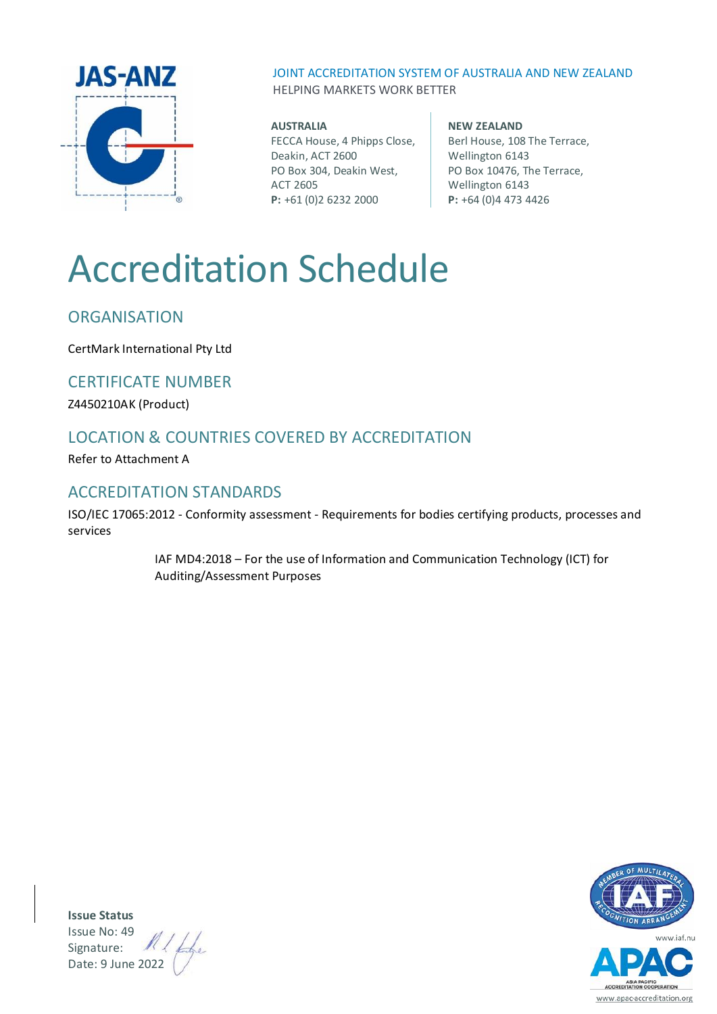

JOINT ACCREDITATION SYSTEM OF AUSTRALIA AND NEW ZEALAND HELPING MARKETS WORK BETTER

#### **AUSTRALIA**

FECCA House, 4 Phipps Close, Deakin, ACT 2600 PO Box 304, Deakin West, ACT 2605 **P:** +61 (0)2 6232 2000

#### **NEW ZEALAND** Berl House, 108 The Terrace, Wellington 6143 PO Box 10476, The Terrace, Wellington 6143 **P:** +64 (0)4 473 4426

# Accreditation Schedule

# **ORGANISATION**

CertMark International Pty Ltd

### CERTIFICATE NUMBER

Z4450210AK (Product)

# LOCATION & COUNTRIES COVERED BY ACCREDITATION

Refer to Attachment A

### ACCREDITATION STANDARDS

ISO/IEC 17065:2012 - Conformity assessment - Requirements for bodies certifying products, processes and services

> IAF MD4:2018 – For the use of Information and Communication Technology (ICT) for Auditing/Assessment Purposes



**Issue Status** Issue No: 49 Signature: Date: 9 June 2022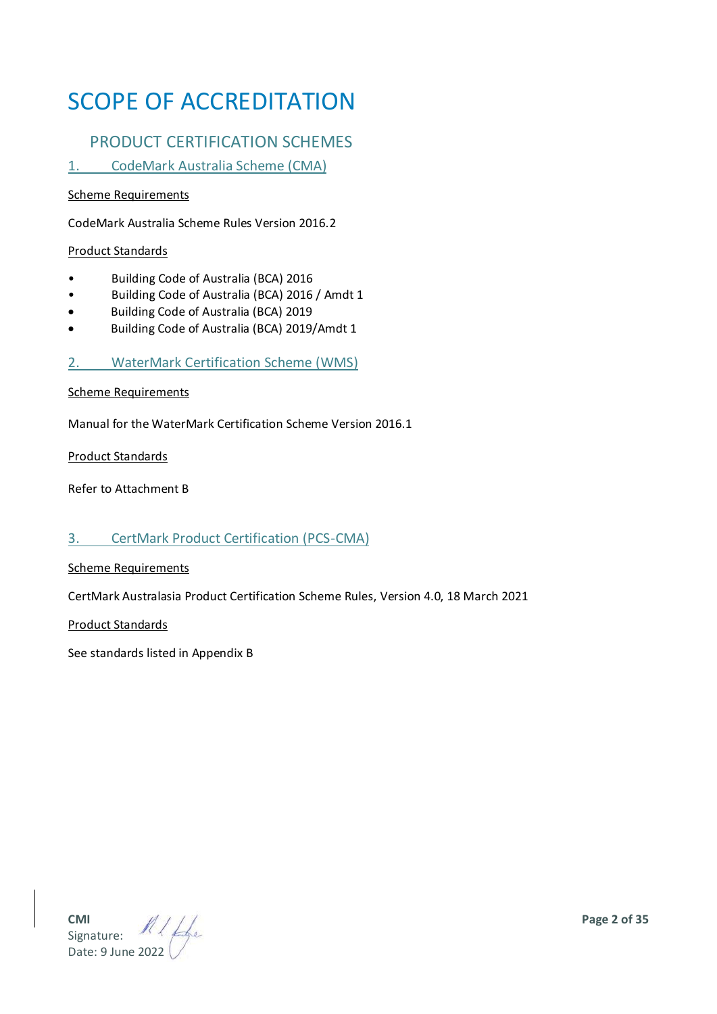# SCOPE OF ACCREDITATION

# PRODUCT CERTIFICATION SCHEMES

1. CodeMark Australia Scheme (CMA)

#### Scheme Requirements

CodeMark Australia Scheme Rules Version 2016.2

#### Product Standards

- Building Code of Australia (BCA) 2016
- Building Code of Australia (BCA) 2016 / Amdt 1
- Building Code of Australia (BCA) 2019
- Building Code of Australia (BCA) 2019/Amdt 1

2. WaterMark Certification Scheme (WMS)

#### Scheme Requirements

Manual for the WaterMark Certification Scheme Version 2016.1

Product Standards

Refer to Attachment B

#### 3. CertMark Product Certification (PCS-CMA)

#### Scheme Requirements

CertMark Australasia Product Certification Scheme Rules, Version 4.0, 18 March 2021

Product Standards

See standards listed in Appendix B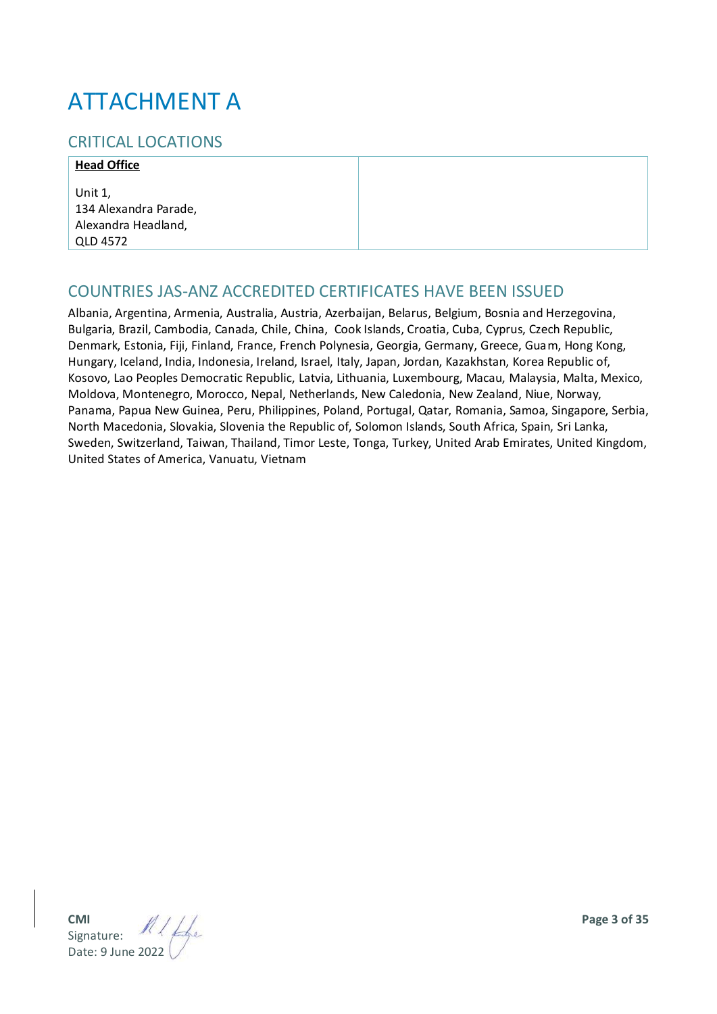# ATTACHMENT A

## CRITICAL LOCATIONS

#### **Head Office**

Unit 1, 134 Alexandra Parade, Alexandra Headland, QLD 4572

### COUNTRIES JAS-ANZ ACCREDITED CERTIFICATES HAVE BEEN ISSUED

Albania, Argentina, Armenia, Australia, Austria, Azerbaijan, Belarus, Belgium, Bosnia and Herzegovina, Bulgaria, Brazil, Cambodia, Canada, Chile, China, Cook Islands, Croatia, Cuba, Cyprus, Czech Republic, Denmark, Estonia, Fiji, Finland, France, French Polynesia, Georgia, Germany, Greece, Guam, Hong Kong, Hungary, Iceland, India, Indonesia, Ireland, Israel, Italy, Japan, Jordan, Kazakhstan, Korea Republic of, Kosovo, Lao Peoples Democratic Republic, Latvia, Lithuania, Luxembourg, Macau, Malaysia, Malta, Mexico, Moldova, Montenegro, Morocco, Nepal, Netherlands, New Caledonia, New Zealand, Niue, Norway, Panama, Papua New Guinea, Peru, Philippines, Poland, Portugal, Qatar, Romania, Samoa, Singapore, Serbia, North Macedonia, Slovakia, Slovenia the Republic of, Solomon Islands, South Africa, Spain, Sri Lanka, Sweden, Switzerland, Taiwan, Thailand, Timor Leste, Tonga, Turkey, United Arab Emirates, United Kingdom, United States of America, Vanuatu, Vietnam

**CMI Page 3 of 35** Signature: Date: 9 June 2022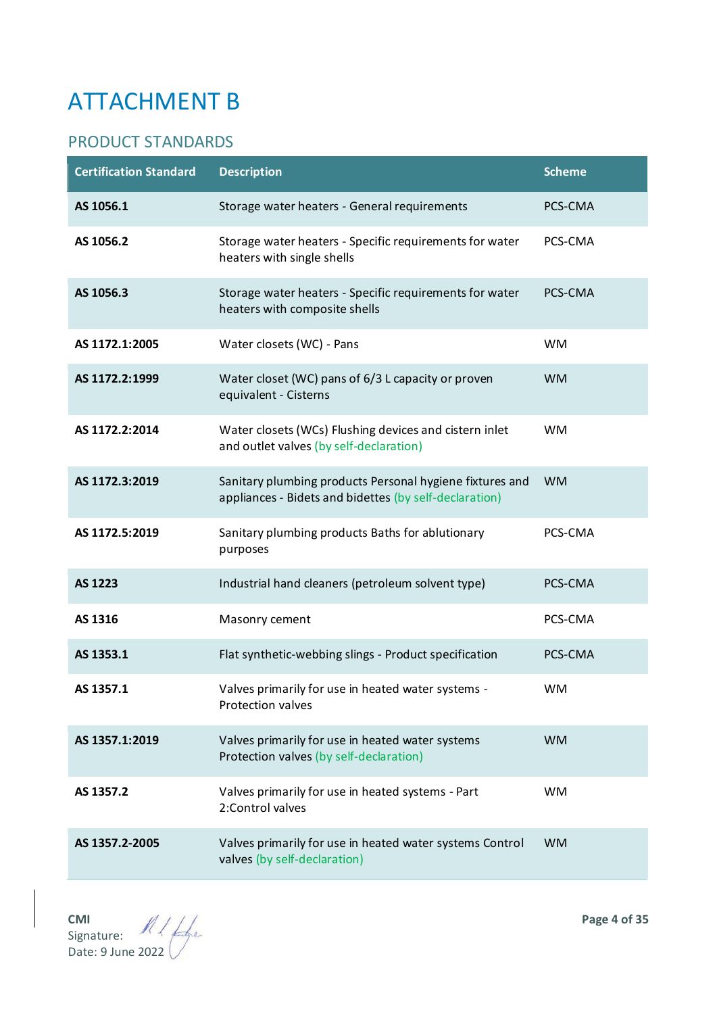# ATTACHMENT B

# PRODUCT STANDARDS

| <b>Certification Standard</b> | <b>Description</b>                                                                                                 | <b>Scheme</b> |
|-------------------------------|--------------------------------------------------------------------------------------------------------------------|---------------|
| AS 1056.1                     | Storage water heaters - General requirements                                                                       | PCS-CMA       |
| AS 1056.2                     | Storage water heaters - Specific requirements for water<br>heaters with single shells                              | PCS-CMA       |
| AS 1056.3                     | Storage water heaters - Specific requirements for water<br>heaters with composite shells                           | PCS-CMA       |
| AS 1172.1:2005                | Water closets (WC) - Pans                                                                                          | <b>WM</b>     |
| AS 1172.2:1999                | Water closet (WC) pans of 6/3 L capacity or proven<br>equivalent - Cisterns                                        | <b>WM</b>     |
| AS 1172.2:2014                | Water closets (WCs) Flushing devices and cistern inlet<br>and outlet valves (by self-declaration)                  | <b>WM</b>     |
| AS 1172.3:2019                | Sanitary plumbing products Personal hygiene fixtures and<br>appliances - Bidets and bidettes (by self-declaration) | <b>WM</b>     |
| AS 1172.5:2019                | Sanitary plumbing products Baths for ablutionary<br>purposes                                                       | PCS-CMA       |
| AS 1223                       | Industrial hand cleaners (petroleum solvent type)                                                                  | PCS-CMA       |
| AS 1316                       | Masonry cement                                                                                                     | PCS-CMA       |
| AS 1353.1                     | Flat synthetic-webbing slings - Product specification                                                              | PCS-CMA       |
| AS 1357.1                     | Valves primarily for use in heated water systems -<br>Protection valves                                            | <b>WM</b>     |
| AS 1357.1:2019                | Valves primarily for use in heated water systems<br>Protection valves (by self-declaration)                        | <b>WM</b>     |
| AS 1357.2                     | Valves primarily for use in heated systems - Part<br>2:Control valves                                              | <b>WM</b>     |
| AS 1357.2-2005                | Valves primarily for use in heated water systems Control<br>valves (by self-declaration)                           | <b>WM</b>     |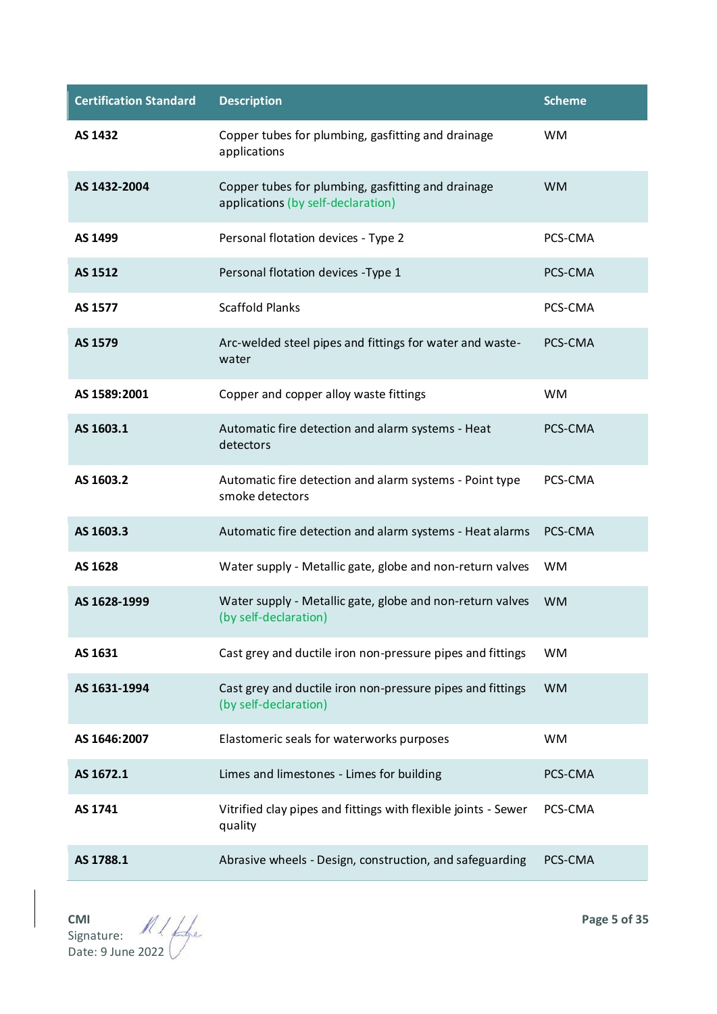| <b>Certification Standard</b> | <b>Description</b>                                                                       | <b>Scheme</b> |
|-------------------------------|------------------------------------------------------------------------------------------|---------------|
| AS 1432                       | Copper tubes for plumbing, gasfitting and drainage<br>applications                       | <b>WM</b>     |
| AS 1432-2004                  | Copper tubes for plumbing, gasfitting and drainage<br>applications (by self-declaration) | <b>WM</b>     |
| AS 1499                       | Personal flotation devices - Type 2                                                      | PCS-CMA       |
| AS 1512                       | Personal flotation devices - Type 1                                                      | PCS-CMA       |
| AS 1577                       | <b>Scaffold Planks</b>                                                                   | PCS-CMA       |
| AS 1579                       | Arc-welded steel pipes and fittings for water and waste-<br>water                        | PCS-CMA       |
| AS 1589:2001                  | Copper and copper alloy waste fittings                                                   | <b>WM</b>     |
| AS 1603.1                     | Automatic fire detection and alarm systems - Heat<br>detectors                           | PCS-CMA       |
| AS 1603.2                     | Automatic fire detection and alarm systems - Point type<br>smoke detectors               | PCS-CMA       |
| AS 1603.3                     | Automatic fire detection and alarm systems - Heat alarms                                 | PCS-CMA       |
| AS 1628                       | Water supply - Metallic gate, globe and non-return valves                                | <b>WM</b>     |
| AS 1628-1999                  | Water supply - Metallic gate, globe and non-return valves<br>(by self-declaration)       | <b>WM</b>     |
| AS 1631                       | Cast grey and ductile iron non-pressure pipes and fittings                               | <b>WM</b>     |
| AS 1631-1994                  | Cast grey and ductile iron non-pressure pipes and fittings<br>(by self-declaration)      | <b>WM</b>     |
| AS 1646:2007                  | Elastomeric seals for waterworks purposes                                                | <b>WM</b>     |
| AS 1672.1                     | Limes and limestones - Limes for building                                                | PCS-CMA       |
| AS 1741                       | Vitrified clay pipes and fittings with flexible joints - Sewer<br>quality                | PCS-CMA       |
| AS 1788.1                     | Abrasive wheels - Design, construction, and safeguarding                                 | PCS-CMA       |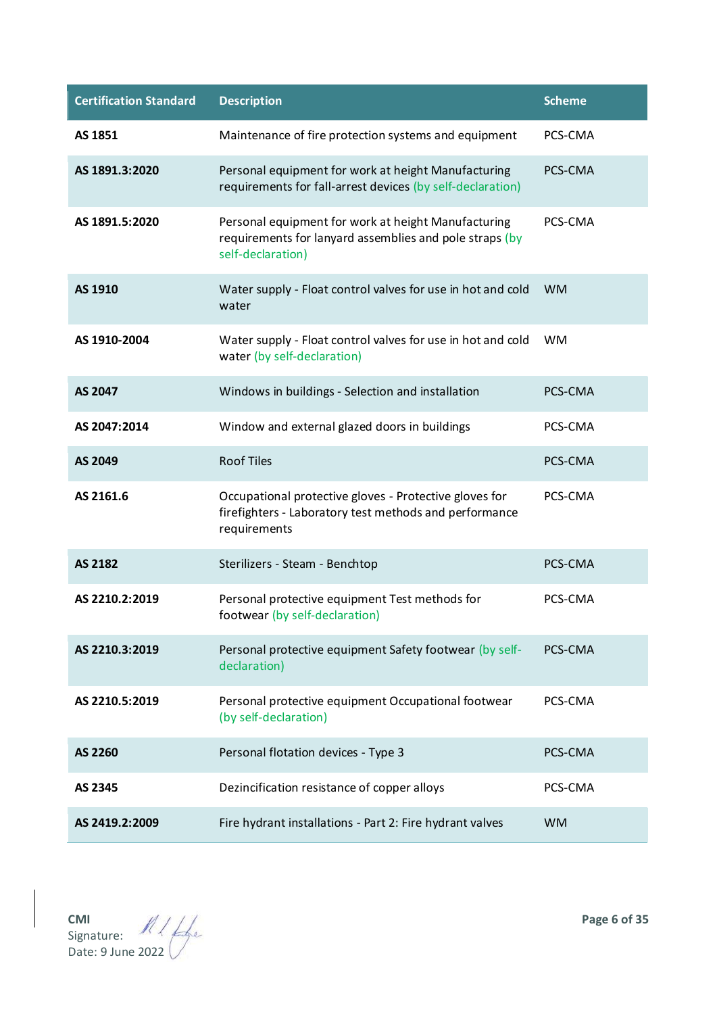| <b>Certification Standard</b> | <b>Description</b>                                                                                                                  | <b>Scheme</b> |
|-------------------------------|-------------------------------------------------------------------------------------------------------------------------------------|---------------|
| AS 1851                       | Maintenance of fire protection systems and equipment                                                                                | PCS-CMA       |
| AS 1891.3:2020                | Personal equipment for work at height Manufacturing<br>requirements for fall-arrest devices (by self-declaration)                   | PCS-CMA       |
| AS 1891.5:2020                | Personal equipment for work at height Manufacturing<br>requirements for lanyard assemblies and pole straps (by<br>self-declaration) | PCS-CMA       |
| AS 1910                       | Water supply - Float control valves for use in hot and cold<br>water                                                                | <b>WM</b>     |
| AS 1910-2004                  | Water supply - Float control valves for use in hot and cold<br>water (by self-declaration)                                          | <b>WM</b>     |
| AS 2047                       | Windows in buildings - Selection and installation                                                                                   | PCS-CMA       |
| AS 2047:2014                  | Window and external glazed doors in buildings                                                                                       | PCS-CMA       |
| AS 2049                       | <b>Roof Tiles</b>                                                                                                                   | PCS-CMA       |
| AS 2161.6                     | Occupational protective gloves - Protective gloves for<br>firefighters - Laboratory test methods and performance<br>requirements    | PCS-CMA       |
| AS 2182                       | Sterilizers - Steam - Benchtop                                                                                                      | PCS-CMA       |
| AS 2210.2:2019                | Personal protective equipment Test methods for<br>footwear (by self-declaration)                                                    | PCS-CMA       |
| AS 2210.3:2019                | Personal protective equipment Safety footwear (by self-<br>declaration)                                                             | PCS-CMA       |
| AS 2210.5:2019                | Personal protective equipment Occupational footwear<br>(by self-declaration)                                                        | PCS-CMA       |
| AS 2260                       | Personal flotation devices - Type 3                                                                                                 | PCS-CMA       |
| AS 2345                       | Dezincification resistance of copper alloys                                                                                         | PCS-CMA       |
| AS 2419.2:2009                | Fire hydrant installations - Part 2: Fire hydrant valves                                                                            | <b>WM</b>     |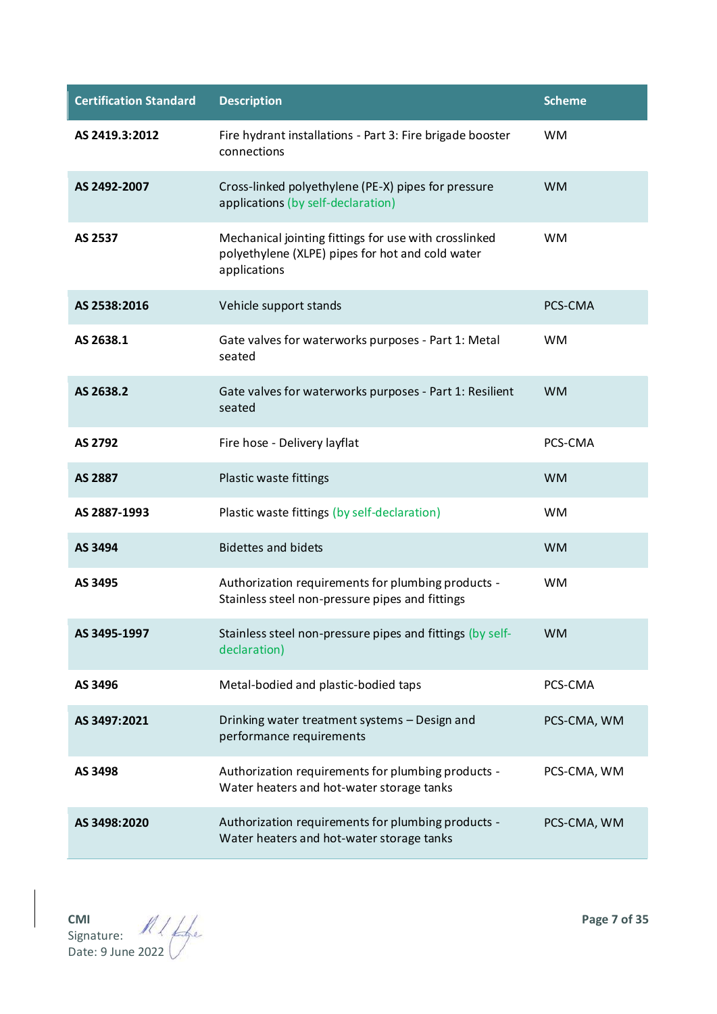| <b>Certification Standard</b> | <b>Description</b>                                                                                                        | <b>Scheme</b> |
|-------------------------------|---------------------------------------------------------------------------------------------------------------------------|---------------|
| AS 2419.3:2012                | Fire hydrant installations - Part 3: Fire brigade booster<br>connections                                                  | <b>WM</b>     |
| AS 2492-2007                  | Cross-linked polyethylene (PE-X) pipes for pressure<br>applications (by self-declaration)                                 | <b>WM</b>     |
| AS 2537                       | Mechanical jointing fittings for use with crosslinked<br>polyethylene (XLPE) pipes for hot and cold water<br>applications | <b>WM</b>     |
| AS 2538:2016                  | Vehicle support stands                                                                                                    | PCS-CMA       |
| AS 2638.1                     | Gate valves for waterworks purposes - Part 1: Metal<br>seated                                                             | <b>WM</b>     |
| AS 2638.2                     | Gate valves for waterworks purposes - Part 1: Resilient<br>seated                                                         | <b>WM</b>     |
| AS 2792                       | Fire hose - Delivery layflat                                                                                              | PCS-CMA       |
| AS 2887                       | Plastic waste fittings                                                                                                    | <b>WM</b>     |
| AS 2887-1993                  | Plastic waste fittings (by self-declaration)                                                                              | <b>WM</b>     |
| AS 3494                       | <b>Bidettes and bidets</b>                                                                                                | <b>WM</b>     |
| AS 3495                       | Authorization requirements for plumbing products -<br>Stainless steel non-pressure pipes and fittings                     | <b>WM</b>     |
| AS 3495-1997                  | Stainless steel non-pressure pipes and fittings (by self-<br>declaration)                                                 | <b>WM</b>     |
| AS 3496                       | Metal-bodied and plastic-bodied taps                                                                                      | PCS-CMA       |
| AS 3497:2021                  | Drinking water treatment systems - Design and<br>performance requirements                                                 | PCS-CMA, WM   |
| AS 3498                       | Authorization requirements for plumbing products -<br>Water heaters and hot-water storage tanks                           | PCS-CMA, WM   |
| AS 3498:2020                  | Authorization requirements for plumbing products -<br>Water heaters and hot-water storage tanks                           | PCS-CMA, WM   |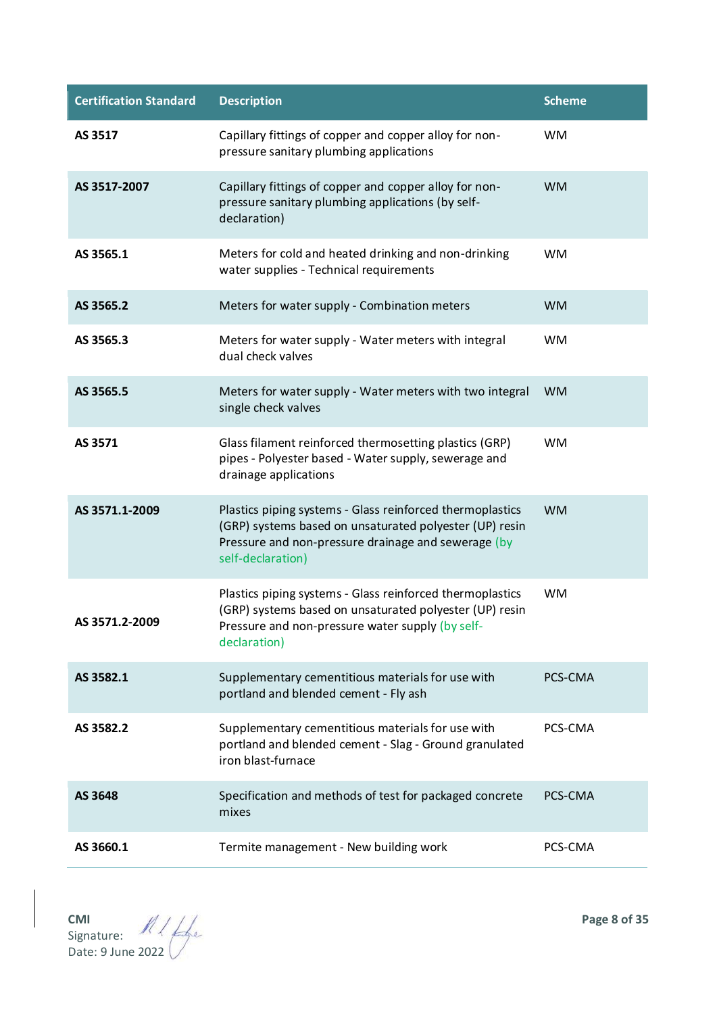| <b>Certification Standard</b> | <b>Description</b>                                                                                                                                                                               | <b>Scheme</b> |
|-------------------------------|--------------------------------------------------------------------------------------------------------------------------------------------------------------------------------------------------|---------------|
| AS 3517                       | Capillary fittings of copper and copper alloy for non-<br>pressure sanitary plumbing applications                                                                                                | <b>WM</b>     |
| AS 3517-2007                  | Capillary fittings of copper and copper alloy for non-<br>pressure sanitary plumbing applications (by self-<br>declaration)                                                                      | <b>WM</b>     |
| AS 3565.1                     | Meters for cold and heated drinking and non-drinking<br>water supplies - Technical requirements                                                                                                  | <b>WM</b>     |
| AS 3565.2                     | Meters for water supply - Combination meters                                                                                                                                                     | <b>WM</b>     |
| AS 3565.3                     | Meters for water supply - Water meters with integral<br>dual check valves                                                                                                                        | <b>WM</b>     |
| AS 3565.5                     | Meters for water supply - Water meters with two integral<br>single check valves                                                                                                                  | <b>WM</b>     |
| AS 3571                       | Glass filament reinforced thermosetting plastics (GRP)<br>pipes - Polyester based - Water supply, sewerage and<br>drainage applications                                                          | <b>WM</b>     |
| AS 3571.1-2009                | Plastics piping systems - Glass reinforced thermoplastics<br>(GRP) systems based on unsaturated polyester (UP) resin<br>Pressure and non-pressure drainage and sewerage (by<br>self-declaration) | <b>WM</b>     |
| AS 3571.2-2009                | Plastics piping systems - Glass reinforced thermoplastics<br>(GRP) systems based on unsaturated polyester (UP) resin<br>Pressure and non-pressure water supply (by self-<br>declaration)         | <b>WM</b>     |
| AS 3582.1                     | Supplementary cementitious materials for use with<br>portland and blended cement - Fly ash                                                                                                       | PCS-CMA       |
| AS 3582.2                     | Supplementary cementitious materials for use with<br>portland and blended cement - Slag - Ground granulated<br>iron blast-furnace                                                                | PCS-CMA       |
| AS 3648                       | Specification and methods of test for packaged concrete<br>mixes                                                                                                                                 | PCS-CMA       |
| AS 3660.1                     | Termite management - New building work                                                                                                                                                           | PCS-CMA       |

**CMI Page 8 of 35** Signature: Date: 9 June 2022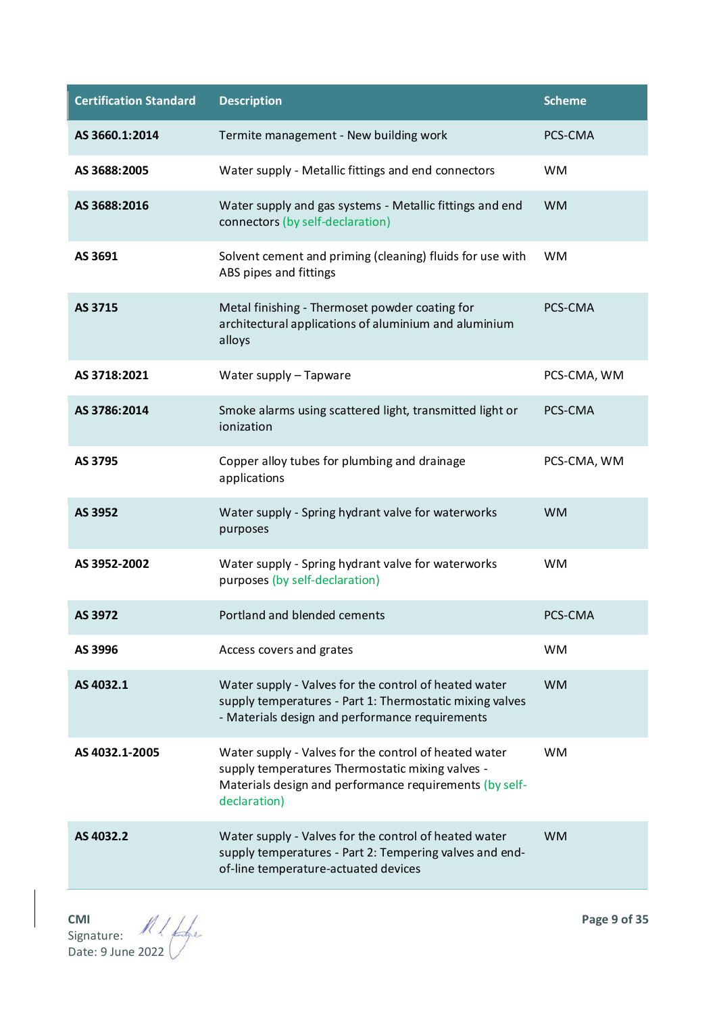| <b>Certification Standard</b> | <b>Description</b>                                                                                                                                                                   | <b>Scheme</b> |
|-------------------------------|--------------------------------------------------------------------------------------------------------------------------------------------------------------------------------------|---------------|
| AS 3660.1:2014                | Termite management - New building work                                                                                                                                               | PCS-CMA       |
| AS 3688:2005                  | Water supply - Metallic fittings and end connectors                                                                                                                                  | <b>WM</b>     |
| AS 3688:2016                  | Water supply and gas systems - Metallic fittings and end<br>connectors (by self-declaration)                                                                                         | <b>WM</b>     |
| AS 3691                       | Solvent cement and priming (cleaning) fluids for use with<br>ABS pipes and fittings                                                                                                  | <b>WM</b>     |
| AS 3715                       | Metal finishing - Thermoset powder coating for<br>architectural applications of aluminium and aluminium<br>alloys                                                                    | PCS-CMA       |
| AS 3718:2021                  | Water supply - Tapware                                                                                                                                                               | PCS-CMA, WM   |
| AS 3786:2014                  | Smoke alarms using scattered light, transmitted light or<br>ionization                                                                                                               | PCS-CMA       |
| AS 3795                       | Copper alloy tubes for plumbing and drainage<br>applications                                                                                                                         | PCS-CMA, WM   |
| AS 3952                       | Water supply - Spring hydrant valve for waterworks<br>purposes                                                                                                                       | <b>WM</b>     |
| AS 3952-2002                  | Water supply - Spring hydrant valve for waterworks<br>purposes (by self-declaration)                                                                                                 | <b>WM</b>     |
| AS 3972                       | Portland and blended cements                                                                                                                                                         | PCS-CMA       |
| AS 3996                       | Access covers and grates                                                                                                                                                             | <b>WM</b>     |
| AS 4032.1                     | Water supply - Valves for the control of heated water<br>supply temperatures - Part 1: Thermostatic mixing valves<br>- Materials design and performance requirements                 | <b>WM</b>     |
| AS 4032.1-2005                | Water supply - Valves for the control of heated water<br>supply temperatures Thermostatic mixing valves -<br>Materials design and performance requirements (by self-<br>declaration) | <b>WM</b>     |
| AS 4032.2                     | Water supply - Valves for the control of heated water<br>supply temperatures - Part 2: Tempering valves and end-<br>of-line temperature-actuated devices                             | <b>WM</b>     |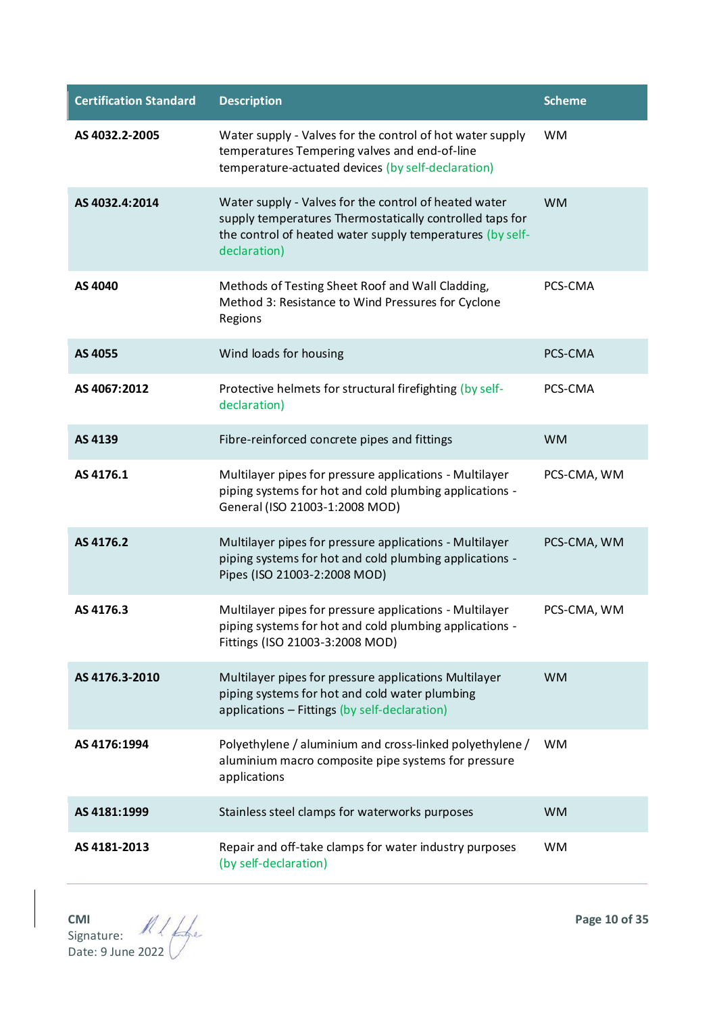| <b>Certification Standard</b> | <b>Description</b>                                                                                                                                                                             | <b>Scheme</b> |
|-------------------------------|------------------------------------------------------------------------------------------------------------------------------------------------------------------------------------------------|---------------|
| AS 4032.2-2005                | Water supply - Valves for the control of hot water supply<br>temperatures Tempering valves and end-of-line<br>temperature-actuated devices (by self-declaration)                               | <b>WM</b>     |
| AS 4032.4:2014                | Water supply - Valves for the control of heated water<br>supply temperatures Thermostatically controlled taps for<br>the control of heated water supply temperatures (by self-<br>declaration) | <b>WM</b>     |
| AS 4040                       | Methods of Testing Sheet Roof and Wall Cladding,<br>Method 3: Resistance to Wind Pressures for Cyclone<br>Regions                                                                              | PCS-CMA       |
| AS 4055                       | Wind loads for housing                                                                                                                                                                         | PCS-CMA       |
| AS 4067:2012                  | Protective helmets for structural firefighting (by self-<br>declaration)                                                                                                                       | PCS-CMA       |
| AS 4139                       | Fibre-reinforced concrete pipes and fittings                                                                                                                                                   | <b>WM</b>     |
| AS 4176.1                     | Multilayer pipes for pressure applications - Multilayer<br>piping systems for hot and cold plumbing applications -<br>General (ISO 21003-1:2008 MOD)                                           | PCS-CMA, WM   |
| AS 4176.2                     | Multilayer pipes for pressure applications - Multilayer<br>piping systems for hot and cold plumbing applications -<br>Pipes (ISO 21003-2:2008 MOD)                                             | PCS-CMA, WM   |
| AS 4176.3                     | Multilayer pipes for pressure applications - Multilayer<br>piping systems for hot and cold plumbing applications -<br>Fittings (ISO 21003-3:2008 MOD)                                          | PCS-CMA, WM   |
| AS 4176.3-2010                | Multilayer pipes for pressure applications Multilayer<br>piping systems for hot and cold water plumbing<br>applications - Fittings (by self-declaration)                                       | <b>WM</b>     |
| AS 4176:1994                  | Polyethylene / aluminium and cross-linked polyethylene /<br>aluminium macro composite pipe systems for pressure<br>applications                                                                | <b>WM</b>     |
| AS 4181:1999                  | Stainless steel clamps for waterworks purposes                                                                                                                                                 | <b>WM</b>     |
| AS 4181-2013                  | Repair and off-take clamps for water industry purposes<br>(by self-declaration)                                                                                                                | <b>WM</b>     |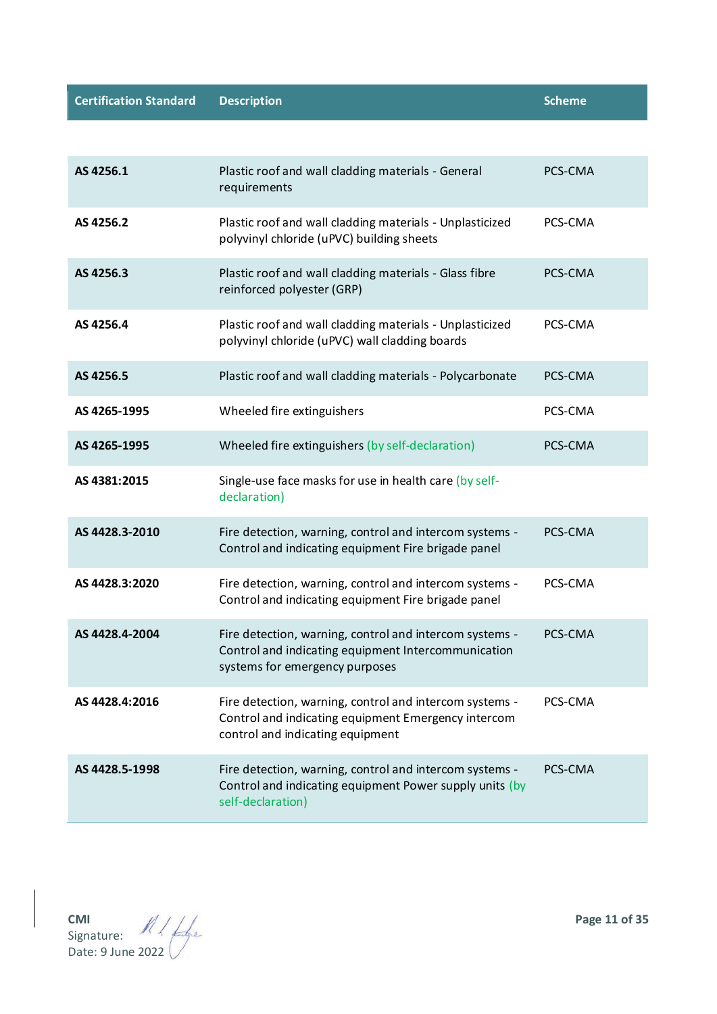**Certification Standard <b>Description Scheme Scheme Scheme Scheme** 

| AS 4256.1      | Plastic roof and wall cladding materials - General<br>requirements                                                                                 | PCS-CMA |
|----------------|----------------------------------------------------------------------------------------------------------------------------------------------------|---------|
| AS 4256.2      | Plastic roof and wall cladding materials - Unplasticized<br>polyvinyl chloride (uPVC) building sheets                                              | PCS-CMA |
| AS 4256.3      | Plastic roof and wall cladding materials - Glass fibre<br>reinforced polyester (GRP)                                                               | PCS-CMA |
| AS 4256.4      | Plastic roof and wall cladding materials - Unplasticized<br>polyvinyl chloride (uPVC) wall cladding boards                                         | PCS-CMA |
| AS 4256.5      | Plastic roof and wall cladding materials - Polycarbonate                                                                                           | PCS-CMA |
| AS 4265-1995   | Wheeled fire extinguishers                                                                                                                         | PCS-CMA |
| AS 4265-1995   | Wheeled fire extinguishers (by self-declaration)                                                                                                   | PCS-CMA |
| AS 4381:2015   | Single-use face masks for use in health care (by self-<br>declaration)                                                                             |         |
| AS 4428.3-2010 | Fire detection, warning, control and intercom systems -<br>Control and indicating equipment Fire brigade panel                                     | PCS-CMA |
| AS 4428.3:2020 | Fire detection, warning, control and intercom systems -<br>Control and indicating equipment Fire brigade panel                                     | PCS-CMA |
| AS 4428.4-2004 | Fire detection, warning, control and intercom systems -<br>Control and indicating equipment Intercommunication<br>systems for emergency purposes   | PCS-CMA |
| AS 4428.4:2016 | Fire detection, warning, control and intercom systems -<br>Control and indicating equipment Emergency intercom<br>control and indicating equipment | PCS-CMA |
| AS 4428.5-1998 | Fire detection, warning, control and intercom systems -<br>Control and indicating equipment Power supply units (by<br>self-declaration)            | PCS-CMA |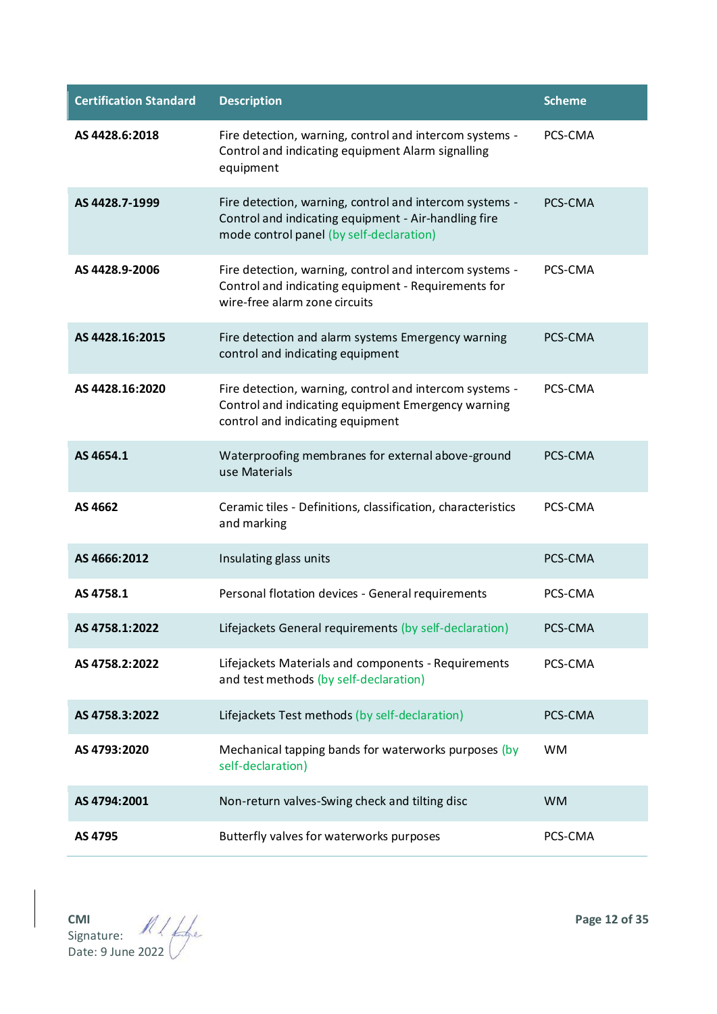| <b>Certification Standard</b> | <b>Description</b>                                                                                                                                          | <b>Scheme</b> |
|-------------------------------|-------------------------------------------------------------------------------------------------------------------------------------------------------------|---------------|
| AS 4428.6:2018                | Fire detection, warning, control and intercom systems -<br>Control and indicating equipment Alarm signalling<br>equipment                                   | PCS-CMA       |
| AS 4428.7-1999                | Fire detection, warning, control and intercom systems -<br>Control and indicating equipment - Air-handling fire<br>mode control panel (by self-declaration) | PCS-CMA       |
| AS 4428.9-2006                | Fire detection, warning, control and intercom systems -<br>Control and indicating equipment - Requirements for<br>wire-free alarm zone circuits             | PCS-CMA       |
| AS 4428.16:2015               | Fire detection and alarm systems Emergency warning<br>control and indicating equipment                                                                      | PCS-CMA       |
| AS 4428.16:2020               | Fire detection, warning, control and intercom systems -<br>Control and indicating equipment Emergency warning<br>control and indicating equipment           | PCS-CMA       |
| AS 4654.1                     | Waterproofing membranes for external above-ground<br>use Materials                                                                                          | PCS-CMA       |
| AS 4662                       | Ceramic tiles - Definitions, classification, characteristics<br>and marking                                                                                 | PCS-CMA       |
| AS 4666:2012                  | Insulating glass units                                                                                                                                      | PCS-CMA       |
| AS 4758.1                     | Personal flotation devices - General requirements                                                                                                           | PCS-CMA       |
| AS 4758.1:2022                | Lifejackets General requirements (by self-declaration)                                                                                                      | PCS-CMA       |
| AS 4758.2:2022                | Lifejackets Materials and components - Requirements<br>and test methods (by self-declaration)                                                               | PCS-CMA       |
| AS 4758.3:2022                | Lifejackets Test methods (by self-declaration)                                                                                                              | PCS-CMA       |
| AS 4793:2020                  | Mechanical tapping bands for waterworks purposes (by<br>self-declaration)                                                                                   | <b>WM</b>     |
| AS 4794:2001                  | Non-return valves-Swing check and tilting disc                                                                                                              | <b>WM</b>     |
| AS 4795                       | Butterfly valves for waterworks purposes                                                                                                                    | PCS-CMA       |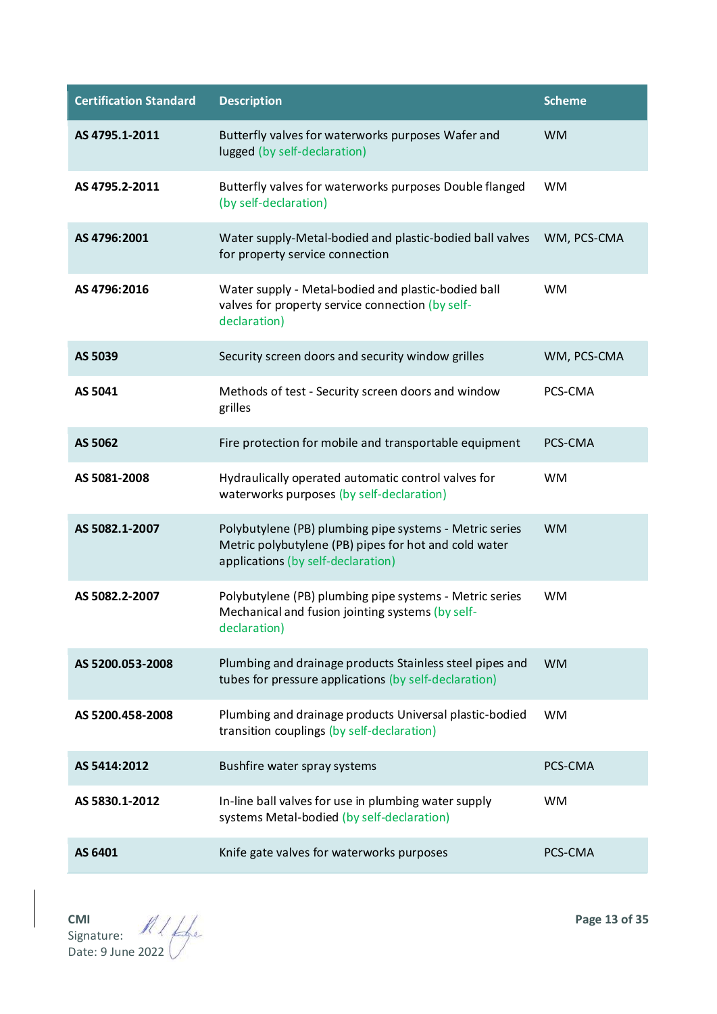| <b>Certification Standard</b> | <b>Description</b>                                                                                                                                     | <b>Scheme</b> |
|-------------------------------|--------------------------------------------------------------------------------------------------------------------------------------------------------|---------------|
| AS 4795.1-2011                | Butterfly valves for waterworks purposes Wafer and<br>lugged (by self-declaration)                                                                     | <b>WM</b>     |
| AS 4795.2-2011                | Butterfly valves for waterworks purposes Double flanged<br>(by self-declaration)                                                                       | <b>WM</b>     |
| AS 4796:2001                  | Water supply-Metal-bodied and plastic-bodied ball valves<br>for property service connection                                                            | WM, PCS-CMA   |
| AS 4796:2016                  | Water supply - Metal-bodied and plastic-bodied ball<br>valves for property service connection (by self-<br>declaration)                                | <b>WM</b>     |
| AS 5039                       | Security screen doors and security window grilles                                                                                                      | WM, PCS-CMA   |
| AS 5041                       | Methods of test - Security screen doors and window<br>grilles                                                                                          | PCS-CMA       |
| AS 5062                       | Fire protection for mobile and transportable equipment                                                                                                 | PCS-CMA       |
| AS 5081-2008                  | Hydraulically operated automatic control valves for<br>waterworks purposes (by self-declaration)                                                       | <b>WM</b>     |
| AS 5082.1-2007                | Polybutylene (PB) plumbing pipe systems - Metric series<br>Metric polybutylene (PB) pipes for hot and cold water<br>applications (by self-declaration) | <b>WM</b>     |
| AS 5082.2-2007                | Polybutylene (PB) plumbing pipe systems - Metric series<br>Mechanical and fusion jointing systems (by self-<br>declaration)                            | <b>WM</b>     |
| AS 5200.053-2008              | Plumbing and drainage products Stainless steel pipes and<br>tubes for pressure applications (by self-declaration)                                      | <b>WM</b>     |
| AS 5200.458-2008              | Plumbing and drainage products Universal plastic-bodied<br>transition couplings (by self-declaration)                                                  | <b>WM</b>     |
| AS 5414:2012                  | Bushfire water spray systems                                                                                                                           | PCS-CMA       |
| AS 5830.1-2012                | In-line ball valves for use in plumbing water supply<br>systems Metal-bodied (by self-declaration)                                                     | <b>WM</b>     |
| AS 6401                       | Knife gate valves for waterworks purposes                                                                                                              | PCS-CMA       |

**CMI Page 13 of 35** Signature: Date: 9 June 2022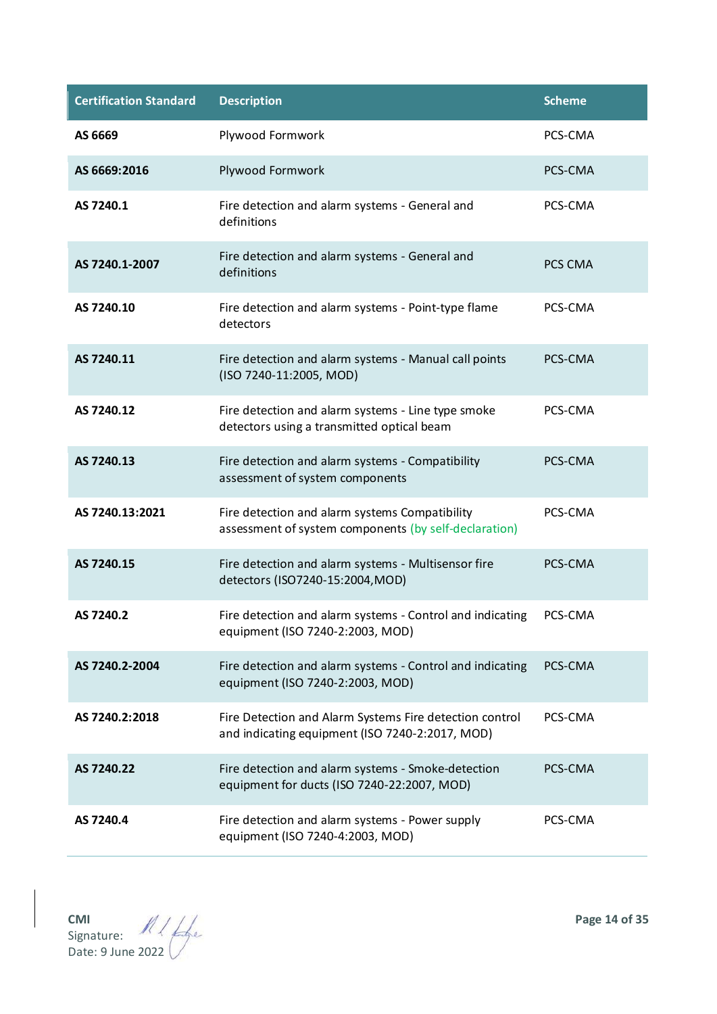| <b>Certification Standard</b> | <b>Description</b>                                                                                         | <b>Scheme</b> |
|-------------------------------|------------------------------------------------------------------------------------------------------------|---------------|
| AS 6669                       | Plywood Formwork                                                                                           | PCS-CMA       |
| AS 6669:2016                  | Plywood Formwork                                                                                           | PCS-CMA       |
| AS 7240.1                     | Fire detection and alarm systems - General and<br>definitions                                              | PCS-CMA       |
| AS 7240.1-2007                | Fire detection and alarm systems - General and<br>definitions                                              | PCS CMA       |
| AS 7240.10                    | Fire detection and alarm systems - Point-type flame<br>detectors                                           | PCS-CMA       |
| AS 7240.11                    | Fire detection and alarm systems - Manual call points<br>(ISO 7240-11:2005, MOD)                           | PCS-CMA       |
| AS 7240.12                    | Fire detection and alarm systems - Line type smoke<br>detectors using a transmitted optical beam           | PCS-CMA       |
| AS 7240.13                    | Fire detection and alarm systems - Compatibility<br>assessment of system components                        | PCS-CMA       |
| AS 7240.13:2021               | Fire detection and alarm systems Compatibility<br>assessment of system components (by self-declaration)    | PCS-CMA       |
| AS 7240.15                    | Fire detection and alarm systems - Multisensor fire<br>detectors (ISO7240-15:2004, MOD)                    | PCS-CMA       |
| AS 7240.2                     | Fire detection and alarm systems - Control and indicating<br>equipment (ISO 7240-2:2003, MOD)              | PCS-CMA       |
| AS 7240.2-2004                | Fire detection and alarm systems - Control and indicating<br>equipment (ISO 7240-2:2003, MOD)              | PCS-CMA       |
| AS 7240.2:2018                | Fire Detection and Alarm Systems Fire detection control<br>and indicating equipment (ISO 7240-2:2017, MOD) | PCS-CMA       |
| AS 7240.22                    | Fire detection and alarm systems - Smoke-detection<br>equipment for ducts (ISO 7240-22:2007, MOD)          | PCS-CMA       |
| AS 7240.4                     | Fire detection and alarm systems - Power supply<br>equipment (ISO 7240-4:2003, MOD)                        | PCS-CMA       |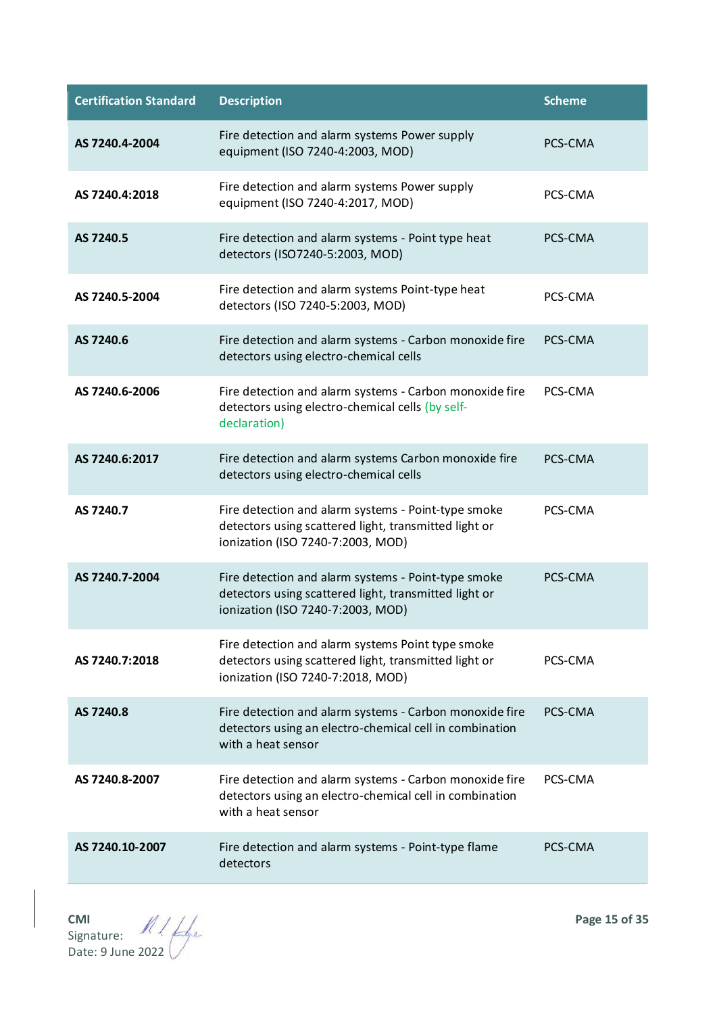| <b>Certification Standard</b> | <b>Description</b>                                                                                                                                | <b>Scheme</b> |
|-------------------------------|---------------------------------------------------------------------------------------------------------------------------------------------------|---------------|
| AS 7240.4-2004                | Fire detection and alarm systems Power supply<br>equipment (ISO 7240-4:2003, MOD)                                                                 | PCS-CMA       |
| AS 7240.4:2018                | Fire detection and alarm systems Power supply<br>equipment (ISO 7240-4:2017, MOD)                                                                 | PCS-CMA       |
| AS 7240.5                     | Fire detection and alarm systems - Point type heat<br>detectors (ISO7240-5:2003, MOD)                                                             | PCS-CMA       |
| AS 7240.5-2004                | Fire detection and alarm systems Point-type heat<br>detectors (ISO 7240-5:2003, MOD)                                                              | PCS-CMA       |
| AS 7240.6                     | Fire detection and alarm systems - Carbon monoxide fire<br>detectors using electro-chemical cells                                                 | PCS-CMA       |
| AS 7240.6-2006                | Fire detection and alarm systems - Carbon monoxide fire<br>detectors using electro-chemical cells (by self-<br>declaration)                       | PCS-CMA       |
| AS 7240.6:2017                | Fire detection and alarm systems Carbon monoxide fire<br>detectors using electro-chemical cells                                                   | PCS-CMA       |
| AS 7240.7                     | Fire detection and alarm systems - Point-type smoke<br>detectors using scattered light, transmitted light or<br>ionization (ISO 7240-7:2003, MOD) | PCS-CMA       |
| AS 7240.7-2004                | Fire detection and alarm systems - Point-type smoke<br>detectors using scattered light, transmitted light or<br>ionization (ISO 7240-7:2003, MOD) | PCS-CMA       |
| AS 7240.7:2018                | Fire detection and alarm systems Point type smoke<br>detectors using scattered light, transmitted light or<br>ionization (ISO 7240-7:2018, MOD)   | PCS-CMA       |
| AS 7240.8                     | Fire detection and alarm systems - Carbon monoxide fire<br>detectors using an electro-chemical cell in combination<br>with a heat sensor          | PCS-CMA       |
| AS 7240.8-2007                | Fire detection and alarm systems - Carbon monoxide fire<br>detectors using an electro-chemical cell in combination<br>with a heat sensor          | PCS-CMA       |
| AS 7240.10-2007               | Fire detection and alarm systems - Point-type flame<br>detectors                                                                                  | PCS-CMA       |

**CMI Page 15 of 35** Signature: Date: 9 June 2022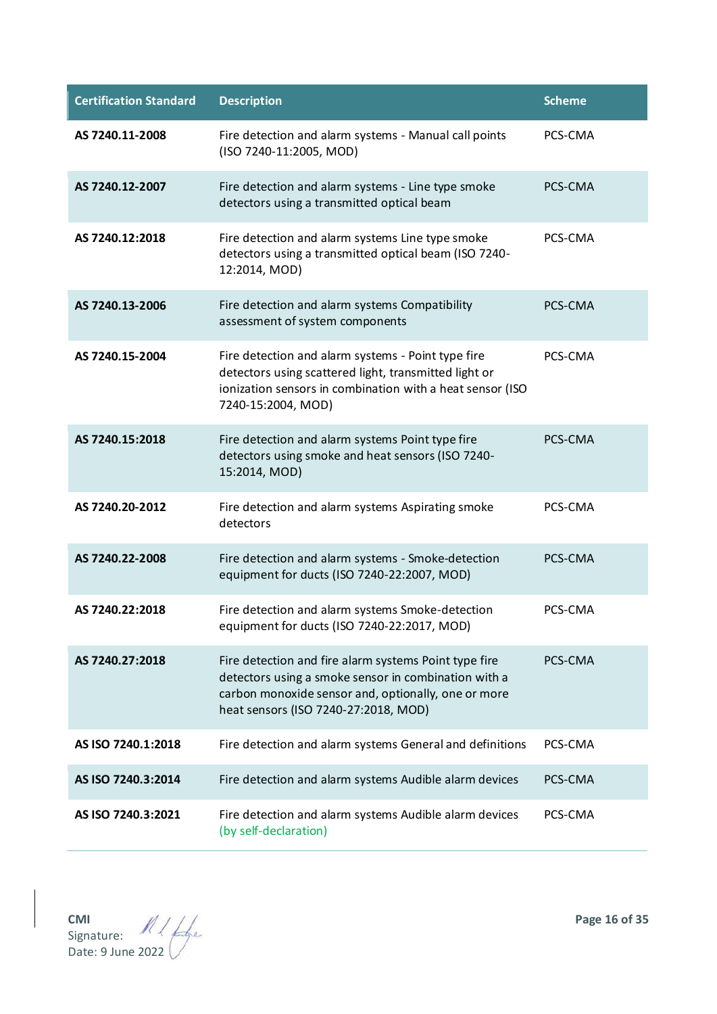| <b>Certification Standard</b> | <b>Description</b>                                                                                                                                                                                           | <b>Scheme</b> |
|-------------------------------|--------------------------------------------------------------------------------------------------------------------------------------------------------------------------------------------------------------|---------------|
| AS 7240.11-2008               | Fire detection and alarm systems - Manual call points<br>(ISO 7240-11:2005, MOD)                                                                                                                             | PCS-CMA       |
| AS 7240.12-2007               | Fire detection and alarm systems - Line type smoke<br>detectors using a transmitted optical beam                                                                                                             | PCS-CMA       |
| AS 7240.12:2018               | Fire detection and alarm systems Line type smoke<br>detectors using a transmitted optical beam (ISO 7240-<br>12:2014, MOD)                                                                                   | PCS-CMA       |
| AS 7240.13-2006               | Fire detection and alarm systems Compatibility<br>assessment of system components                                                                                                                            | PCS-CMA       |
| AS 7240.15-2004               | Fire detection and alarm systems - Point type fire<br>detectors using scattered light, transmitted light or<br>ionization sensors in combination with a heat sensor (ISO<br>7240-15:2004, MOD)               | PCS-CMA       |
| AS 7240.15:2018               | Fire detection and alarm systems Point type fire<br>detectors using smoke and heat sensors (ISO 7240-<br>15:2014, MOD)                                                                                       | PCS-CMA       |
| AS 7240.20-2012               | Fire detection and alarm systems Aspirating smoke<br>detectors                                                                                                                                               | PCS-CMA       |
| AS 7240.22-2008               | Fire detection and alarm systems - Smoke-detection<br>equipment for ducts (ISO 7240-22:2007, MOD)                                                                                                            | PCS-CMA       |
| AS 7240.22:2018               | Fire detection and alarm systems Smoke-detection<br>equipment for ducts (ISO 7240-22:2017, MOD)                                                                                                              | PCS-CMA       |
| AS 7240.27:2018               | Fire detection and fire alarm systems Point type fire<br>detectors using a smoke sensor in combination with a<br>carbon monoxide sensor and, optionally, one or more<br>heat sensors (ISO 7240-27:2018, MOD) | PCS-CMA       |
| AS ISO 7240.1:2018            | Fire detection and alarm systems General and definitions                                                                                                                                                     | PCS-CMA       |
| AS ISO 7240.3:2014            | Fire detection and alarm systems Audible alarm devices                                                                                                                                                       | PCS-CMA       |
| AS ISO 7240.3:2021            | Fire detection and alarm systems Audible alarm devices<br>(by self-declaration)                                                                                                                              | PCS-CMA       |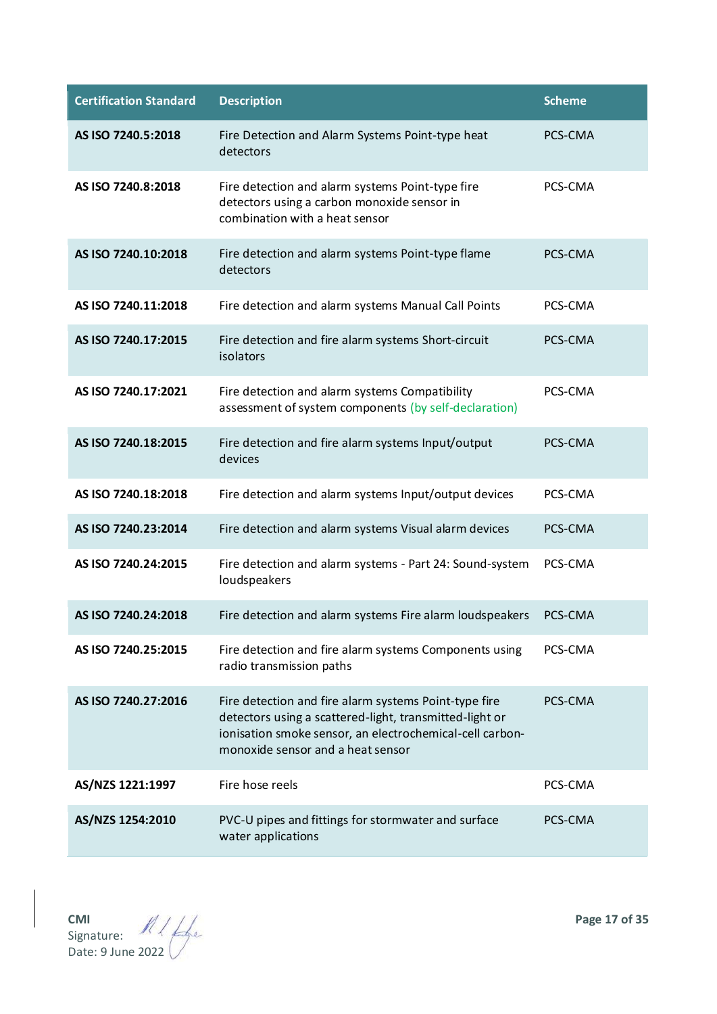| <b>Certification Standard</b> | <b>Description</b>                                                                                                                                                                                                | <b>Scheme</b> |
|-------------------------------|-------------------------------------------------------------------------------------------------------------------------------------------------------------------------------------------------------------------|---------------|
| AS ISO 7240.5:2018            | Fire Detection and Alarm Systems Point-type heat<br>detectors                                                                                                                                                     | PCS-CMA       |
| AS ISO 7240.8:2018            | Fire detection and alarm systems Point-type fire<br>detectors using a carbon monoxide sensor in<br>combination with a heat sensor                                                                                 | PCS-CMA       |
| AS ISO 7240.10:2018           | Fire detection and alarm systems Point-type flame<br>detectors                                                                                                                                                    | PCS-CMA       |
| AS ISO 7240.11:2018           | Fire detection and alarm systems Manual Call Points                                                                                                                                                               | PCS-CMA       |
| AS ISO 7240.17:2015           | Fire detection and fire alarm systems Short-circuit<br>isolators                                                                                                                                                  | PCS-CMA       |
| AS ISO 7240.17:2021           | Fire detection and alarm systems Compatibility<br>assessment of system components (by self-declaration)                                                                                                           | PCS-CMA       |
| AS ISO 7240.18:2015           | Fire detection and fire alarm systems Input/output<br>devices                                                                                                                                                     | PCS-CMA       |
| AS ISO 7240.18:2018           | Fire detection and alarm systems Input/output devices                                                                                                                                                             | PCS-CMA       |
| AS ISO 7240.23:2014           | Fire detection and alarm systems Visual alarm devices                                                                                                                                                             | PCS-CMA       |
| AS ISO 7240.24:2015           | Fire detection and alarm systems - Part 24: Sound-system<br>loudspeakers                                                                                                                                          | PCS-CMA       |
| AS ISO 7240.24:2018           | Fire detection and alarm systems Fire alarm loudspeakers                                                                                                                                                          | PCS-CMA       |
| AS ISO 7240.25:2015           | Fire detection and fire alarm systems Components using<br>radio transmission paths                                                                                                                                | PCS-CMA       |
| AS ISO 7240.27:2016           | Fire detection and fire alarm systems Point-type fire<br>detectors using a scattered-light, transmitted-light or<br>ionisation smoke sensor, an electrochemical-cell carbon-<br>monoxide sensor and a heat sensor | PCS-CMA       |
| AS/NZS 1221:1997              | Fire hose reels                                                                                                                                                                                                   | PCS-CMA       |
| AS/NZS 1254:2010              | PVC-U pipes and fittings for stormwater and surface<br>water applications                                                                                                                                         | PCS-CMA       |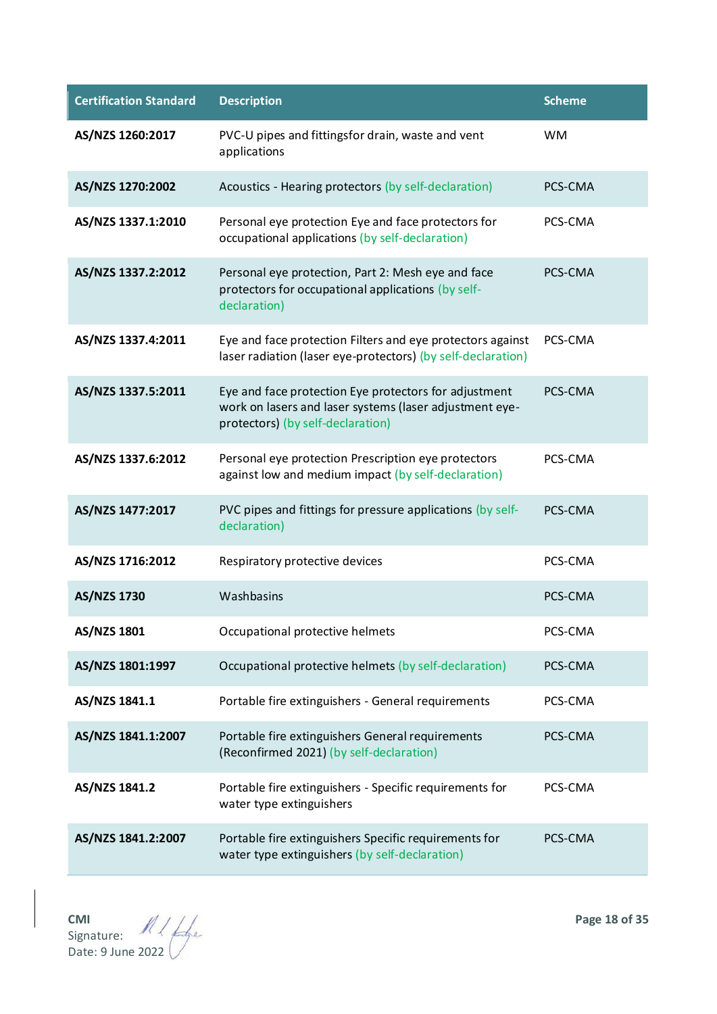| <b>Certification Standard</b> | <b>Description</b>                                                                                                                                    | <b>Scheme</b> |
|-------------------------------|-------------------------------------------------------------------------------------------------------------------------------------------------------|---------------|
| AS/NZS 1260:2017              | PVC-U pipes and fittingsfor drain, waste and vent<br>applications                                                                                     | WM.           |
| AS/NZS 1270:2002              | Acoustics - Hearing protectors (by self-declaration)                                                                                                  | PCS-CMA       |
| AS/NZS 1337.1:2010            | Personal eye protection Eye and face protectors for<br>occupational applications (by self-declaration)                                                | PCS-CMA       |
| AS/NZS 1337.2:2012            | Personal eye protection, Part 2: Mesh eye and face<br>protectors for occupational applications (by self-<br>declaration)                              | PCS-CMA       |
| AS/NZS 1337.4:2011            | Eye and face protection Filters and eye protectors against<br>laser radiation (laser eye-protectors) (by self-declaration)                            | PCS-CMA       |
| AS/NZS 1337.5:2011            | Eye and face protection Eye protectors for adjustment<br>work on lasers and laser systems (laser adjustment eye-<br>protectors) (by self-declaration) | PCS-CMA       |
| AS/NZS 1337.6:2012            | Personal eye protection Prescription eye protectors<br>against low and medium impact (by self-declaration)                                            | PCS-CMA       |
| AS/NZS 1477:2017              | PVC pipes and fittings for pressure applications (by self-<br>declaration)                                                                            | PCS-CMA       |
| AS/NZS 1716:2012              | Respiratory protective devices                                                                                                                        | PCS-CMA       |
| <b>AS/NZS 1730</b>            | Washbasins                                                                                                                                            | PCS-CMA       |
| AS/NZS 1801                   | Occupational protective helmets                                                                                                                       | PCS-CMA       |
| AS/NZS 1801:1997              | Occupational protective helmets (by self-declaration)                                                                                                 | PCS-CMA       |
| AS/NZS 1841.1                 | Portable fire extinguishers - General requirements                                                                                                    | PCS-CMA       |
| AS/NZS 1841.1:2007            | Portable fire extinguishers General requirements<br>(Reconfirmed 2021) (by self-declaration)                                                          | PCS-CMA       |
| AS/NZS 1841.2                 | Portable fire extinguishers - Specific requirements for<br>water type extinguishers                                                                   | PCS-CMA       |
| AS/NZS 1841.2:2007            | Portable fire extinguishers Specific requirements for<br>water type extinguishers (by self-declaration)                                               | PCS-CMA       |

**CMI Page 18 of 35** Signature: Date: 9 June 2022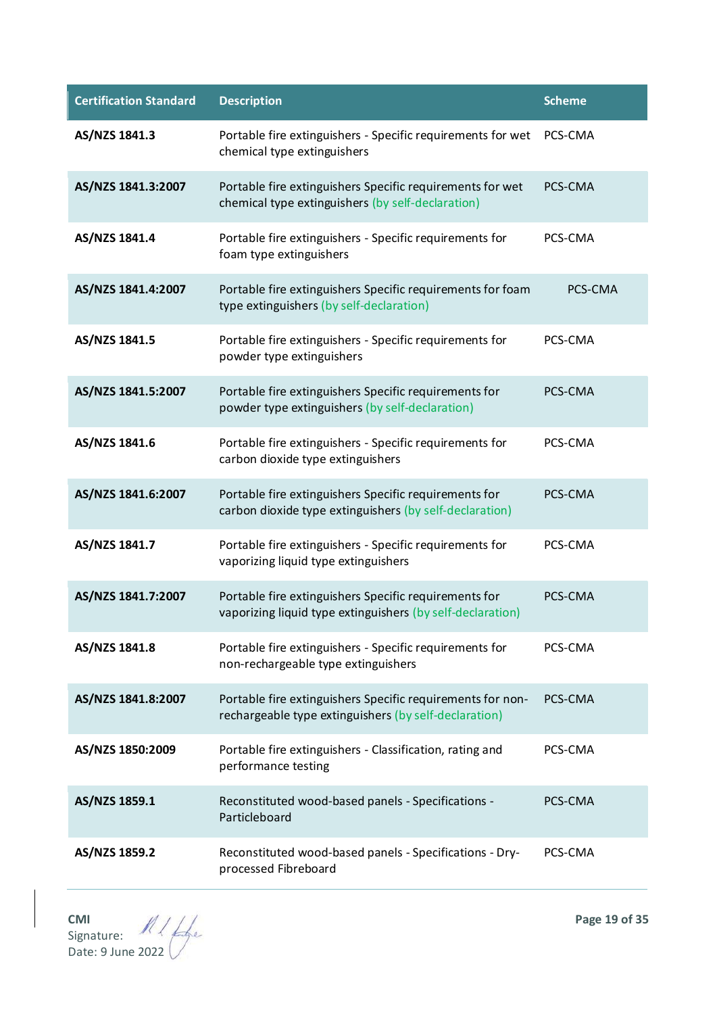| <b>Certification Standard</b> | <b>Description</b>                                                                                                  | <b>Scheme</b> |
|-------------------------------|---------------------------------------------------------------------------------------------------------------------|---------------|
| AS/NZS 1841.3                 | Portable fire extinguishers - Specific requirements for wet<br>chemical type extinguishers                          | PCS-CMA       |
| AS/NZS 1841.3:2007            | Portable fire extinguishers Specific requirements for wet<br>chemical type extinguishers (by self-declaration)      | PCS-CMA       |
| AS/NZS 1841.4                 | Portable fire extinguishers - Specific requirements for<br>foam type extinguishers                                  | PCS-CMA       |
| AS/NZS 1841.4:2007            | Portable fire extinguishers Specific requirements for foam<br>type extinguishers (by self-declaration)              | PCS-CMA       |
| AS/NZS 1841.5                 | Portable fire extinguishers - Specific requirements for<br>powder type extinguishers                                | PCS-CMA       |
| AS/NZS 1841.5:2007            | Portable fire extinguishers Specific requirements for<br>powder type extinguishers (by self-declaration)            | PCS-CMA       |
| AS/NZS 1841.6                 | Portable fire extinguishers - Specific requirements for<br>carbon dioxide type extinguishers                        | PCS-CMA       |
| AS/NZS 1841.6:2007            | Portable fire extinguishers Specific requirements for<br>carbon dioxide type extinguishers (by self-declaration)    | PCS-CMA       |
| AS/NZS 1841.7                 | Portable fire extinguishers - Specific requirements for<br>vaporizing liquid type extinguishers                     | PCS-CMA       |
| AS/NZS 1841.7:2007            | Portable fire extinguishers Specific requirements for<br>vaporizing liquid type extinguishers (by self-declaration) | PCS-CMA       |
| AS/NZS 1841.8                 | Portable fire extinguishers - Specific requirements for<br>non-rechargeable type extinguishers                      | PCS-CMA       |
| AS/NZS 1841.8:2007            | Portable fire extinguishers Specific requirements for non-<br>rechargeable type extinguishers (by self-declaration) | PCS-CMA       |
| AS/NZS 1850:2009              | Portable fire extinguishers - Classification, rating and<br>performance testing                                     | PCS-CMA       |
| AS/NZS 1859.1                 | Reconstituted wood-based panels - Specifications -<br>Particleboard                                                 | PCS-CMA       |
| AS/NZS 1859.2                 | Reconstituted wood-based panels - Specifications - Dry-<br>processed Fibreboard                                     | PCS-CMA       |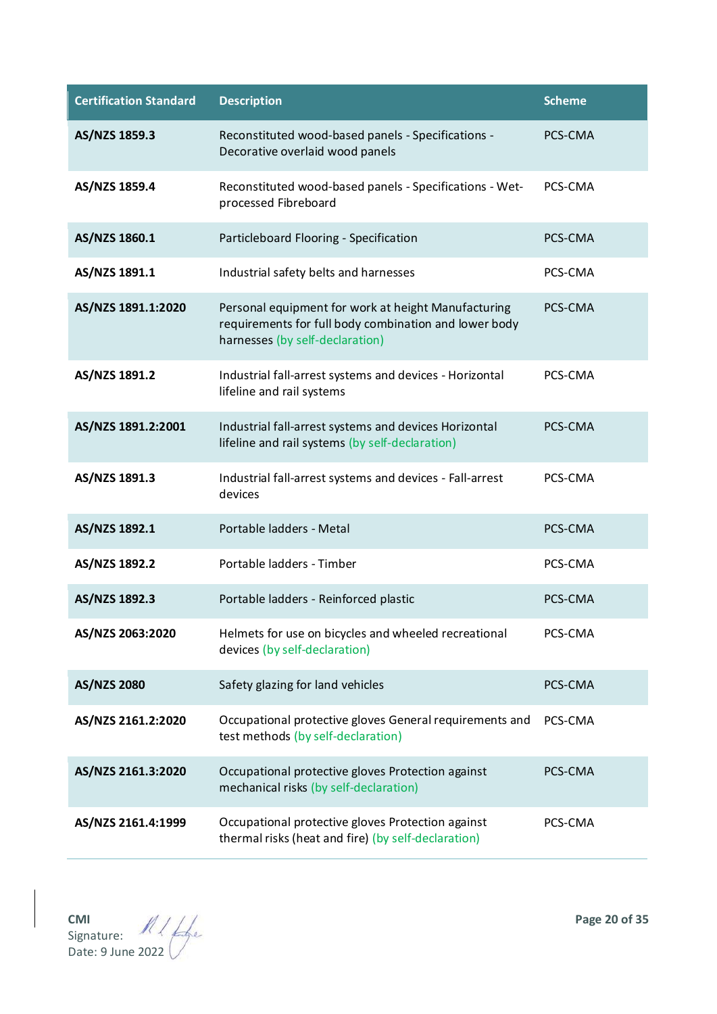| <b>Certification Standard</b> | <b>Description</b>                                                                                                                              | <b>Scheme</b> |
|-------------------------------|-------------------------------------------------------------------------------------------------------------------------------------------------|---------------|
| AS/NZS 1859.3                 | Reconstituted wood-based panels - Specifications -<br>Decorative overlaid wood panels                                                           | PCS-CMA       |
| AS/NZS 1859.4                 | Reconstituted wood-based panels - Specifications - Wet-<br>processed Fibreboard                                                                 | PCS-CMA       |
| AS/NZS 1860.1                 | Particleboard Flooring - Specification                                                                                                          | PCS-CMA       |
| AS/NZS 1891.1                 | Industrial safety belts and harnesses                                                                                                           | PCS-CMA       |
| AS/NZS 1891.1:2020            | Personal equipment for work at height Manufacturing<br>requirements for full body combination and lower body<br>harnesses (by self-declaration) | PCS-CMA       |
| AS/NZS 1891.2                 | Industrial fall-arrest systems and devices - Horizontal<br>lifeline and rail systems                                                            | PCS-CMA       |
| AS/NZS 1891.2:2001            | Industrial fall-arrest systems and devices Horizontal<br>lifeline and rail systems (by self-declaration)                                        | PCS-CMA       |
| AS/NZS 1891.3                 | Industrial fall-arrest systems and devices - Fall-arrest<br>devices                                                                             | PCS-CMA       |
| AS/NZS 1892.1                 | Portable ladders - Metal                                                                                                                        | PCS-CMA       |
| AS/NZS 1892.2                 | Portable ladders - Timber                                                                                                                       | PCS-CMA       |
| AS/NZS 1892.3                 | Portable ladders - Reinforced plastic                                                                                                           | PCS-CMA       |
| AS/NZS 2063:2020              | Helmets for use on bicycles and wheeled recreational<br>devices (by self-declaration)                                                           | PCS-CMA       |
| <b>AS/NZS 2080</b>            | Safety glazing for land vehicles                                                                                                                | PCS-CMA       |
| AS/NZS 2161.2:2020            | Occupational protective gloves General requirements and<br>test methods (by self-declaration)                                                   | PCS-CMA       |
| AS/NZS 2161.3:2020            | Occupational protective gloves Protection against<br>mechanical risks (by self-declaration)                                                     | PCS-CMA       |
| AS/NZS 2161.4:1999            | Occupational protective gloves Protection against<br>thermal risks (heat and fire) (by self-declaration)                                        | PCS-CMA       |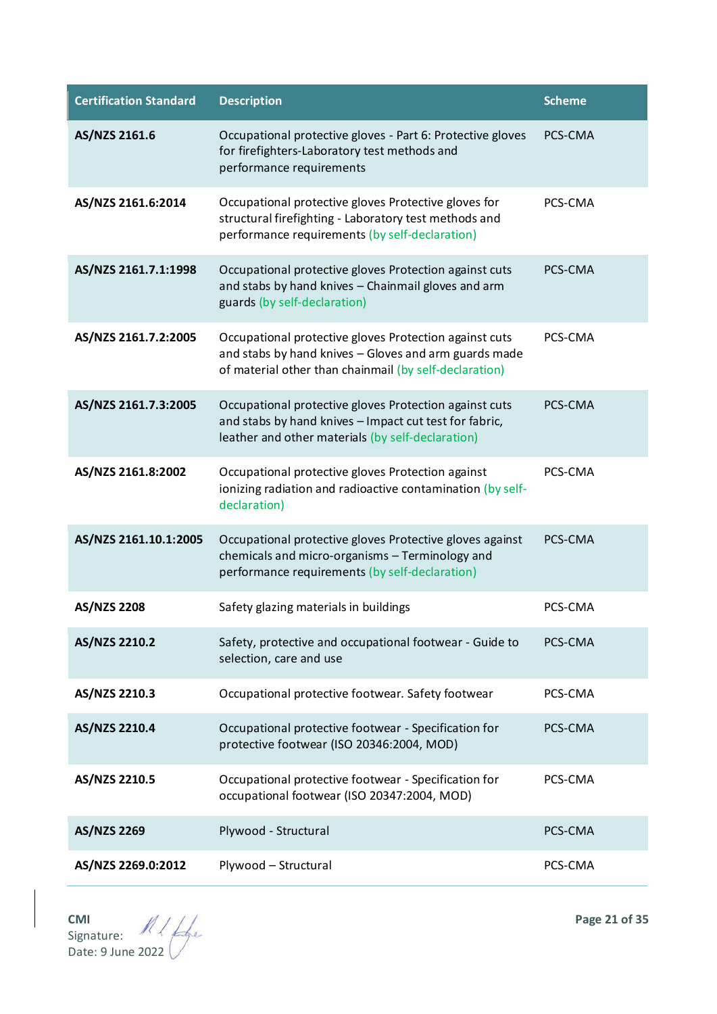| <b>Certification Standard</b> | <b>Description</b>                                                                                                                                                        | <b>Scheme</b> |
|-------------------------------|---------------------------------------------------------------------------------------------------------------------------------------------------------------------------|---------------|
| AS/NZS 2161.6                 | Occupational protective gloves - Part 6: Protective gloves<br>for firefighters-Laboratory test methods and<br>performance requirements                                    | PCS-CMA       |
| AS/NZS 2161.6:2014            | Occupational protective gloves Protective gloves for<br>structural firefighting - Laboratory test methods and<br>performance requirements (by self-declaration)           | PCS-CMA       |
| AS/NZS 2161.7.1:1998          | Occupational protective gloves Protection against cuts<br>and stabs by hand knives - Chainmail gloves and arm<br>guards (by self-declaration)                             | PCS-CMA       |
| AS/NZS 2161.7.2:2005          | Occupational protective gloves Protection against cuts<br>and stabs by hand knives - Gloves and arm guards made<br>of material other than chainmail (by self-declaration) | PCS-CMA       |
| AS/NZS 2161.7.3:2005          | Occupational protective gloves Protection against cuts<br>and stabs by hand knives - Impact cut test for fabric,<br>leather and other materials (by self-declaration)     | PCS-CMA       |
| AS/NZS 2161.8:2002            | Occupational protective gloves Protection against<br>ionizing radiation and radioactive contamination (by self-<br>declaration)                                           | PCS-CMA       |
| AS/NZS 2161.10.1:2005         | Occupational protective gloves Protective gloves against<br>chemicals and micro-organisms - Terminology and<br>performance requirements (by self-declaration)             | PCS-CMA       |
| <b>AS/NZS 2208</b>            | Safety glazing materials in buildings                                                                                                                                     | PCS-CMA       |
| AS/NZS 2210.2                 | Safety, protective and occupational footwear - Guide to<br>selection, care and use                                                                                        | PCS-CMA       |
| AS/NZS 2210.3                 | Occupational protective footwear. Safety footwear                                                                                                                         | PCS-CMA       |
| AS/NZS 2210.4                 | Occupational protective footwear - Specification for<br>protective footwear (ISO 20346:2004, MOD)                                                                         | PCS-CMA       |
| AS/NZS 2210.5                 | Occupational protective footwear - Specification for<br>occupational footwear (ISO 20347:2004, MOD)                                                                       | PCS-CMA       |
| AS/NZS 2269                   | Plywood - Structural                                                                                                                                                      | PCS-CMA       |
| AS/NZS 2269.0:2012            | Plywood - Structural                                                                                                                                                      | PCS-CMA       |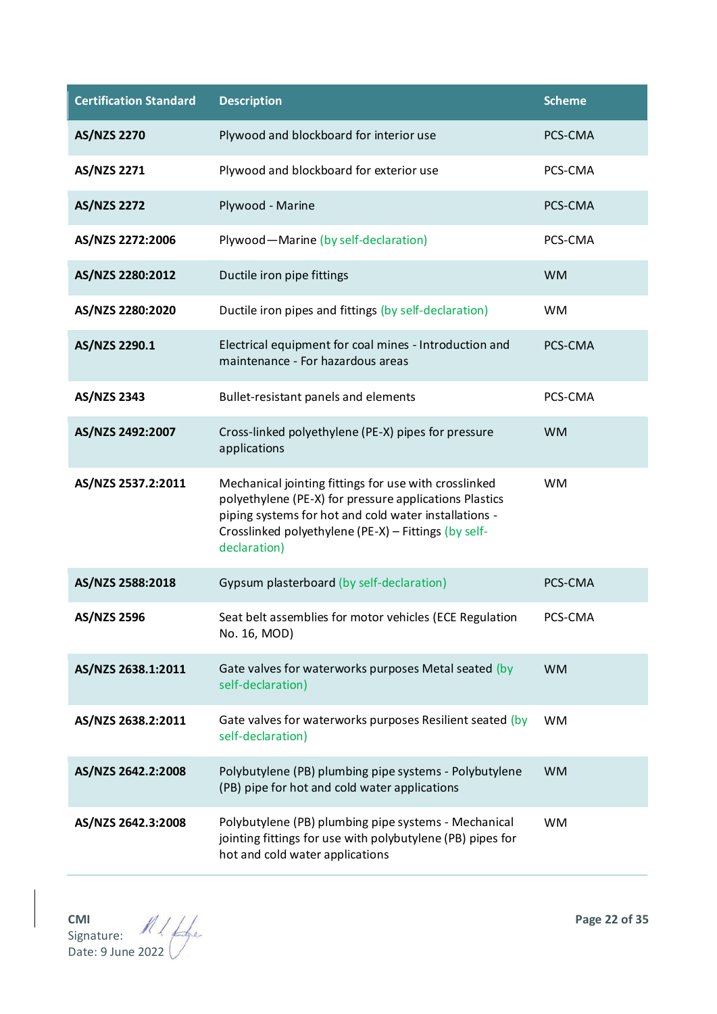| <b>Certification Standard</b> | <b>Description</b>                                                                                                                                                                                                                               | <b>Scheme</b> |
|-------------------------------|--------------------------------------------------------------------------------------------------------------------------------------------------------------------------------------------------------------------------------------------------|---------------|
| <b>AS/NZS 2270</b>            | Plywood and blockboard for interior use                                                                                                                                                                                                          | PCS-CMA       |
| AS/NZS 2271                   | Plywood and blockboard for exterior use                                                                                                                                                                                                          | PCS-CMA       |
| <b>AS/NZS 2272</b>            | Plywood - Marine                                                                                                                                                                                                                                 | PCS-CMA       |
| AS/NZS 2272:2006              | Plywood-Marine (by self-declaration)                                                                                                                                                                                                             | PCS-CMA       |
| AS/NZS 2280:2012              | Ductile iron pipe fittings                                                                                                                                                                                                                       | <b>WM</b>     |
| AS/NZS 2280:2020              | Ductile iron pipes and fittings (by self-declaration)                                                                                                                                                                                            | <b>WM</b>     |
| AS/NZS 2290.1                 | Electrical equipment for coal mines - Introduction and<br>maintenance - For hazardous areas                                                                                                                                                      | PCS-CMA       |
| AS/NZS 2343                   | Bullet-resistant panels and elements                                                                                                                                                                                                             | PCS-CMA       |
| AS/NZS 2492:2007              | Cross-linked polyethylene (PE-X) pipes for pressure<br>applications                                                                                                                                                                              | <b>WM</b>     |
| AS/NZS 2537.2:2011            | Mechanical jointing fittings for use with crosslinked<br>polyethylene (PE-X) for pressure applications Plastics<br>piping systems for hot and cold water installations -<br>Crosslinked polyethylene (PE-X) - Fittings (by self-<br>declaration) | <b>WM</b>     |
| AS/NZS 2588:2018              | Gypsum plasterboard (by self-declaration)                                                                                                                                                                                                        | PCS-CMA       |
| <b>AS/NZS 2596</b>            | Seat belt assemblies for motor vehicles (ECE Regulation<br>No. 16, MOD)                                                                                                                                                                          | PCS-CMA       |
| AS/NZS 2638.1:2011            | Gate valves for waterworks purposes Metal seated (by<br>self-declaration)                                                                                                                                                                        | <b>WM</b>     |
| AS/NZS 2638.2:2011            | Gate valves for waterworks purposes Resilient seated (by<br>self-declaration)                                                                                                                                                                    | <b>WM</b>     |
| AS/NZS 2642.2:2008            | Polybutylene (PB) plumbing pipe systems - Polybutylene<br>(PB) pipe for hot and cold water applications                                                                                                                                          | <b>WM</b>     |
| AS/NZS 2642.3:2008            | Polybutylene (PB) plumbing pipe systems - Mechanical<br>jointing fittings for use with polybutylene (PB) pipes for<br>hot and cold water applications                                                                                            | <b>WM</b>     |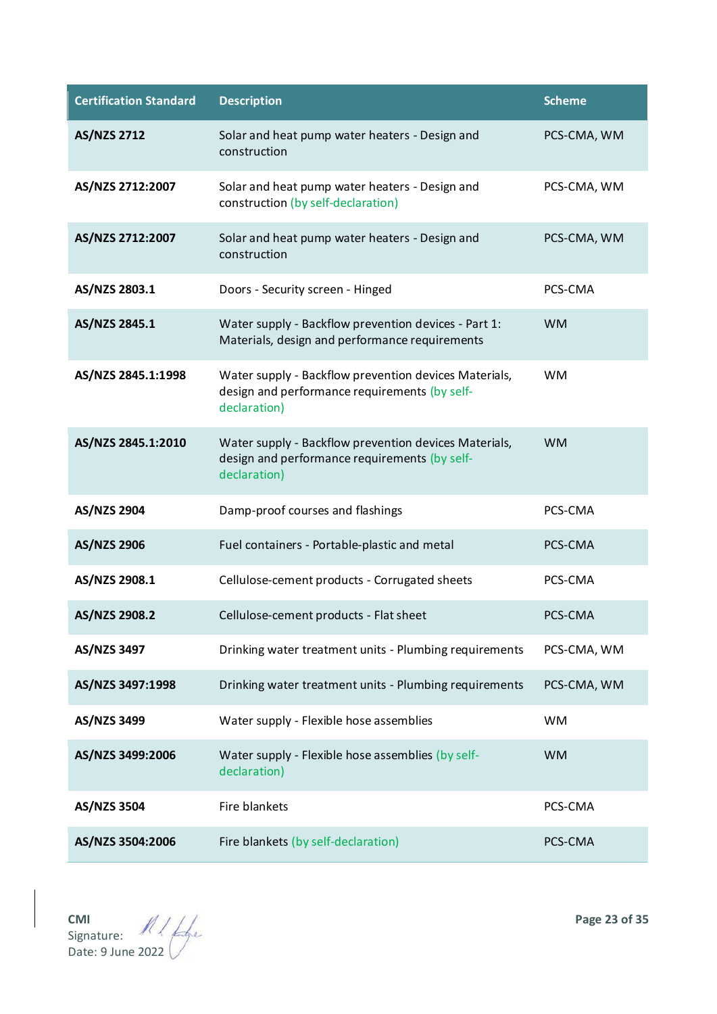| <b>Certification Standard</b> | <b>Description</b>                                                                                                     | <b>Scheme</b> |
|-------------------------------|------------------------------------------------------------------------------------------------------------------------|---------------|
| <b>AS/NZS 2712</b>            | Solar and heat pump water heaters - Design and<br>construction                                                         | PCS-CMA, WM   |
| AS/NZS 2712:2007              | Solar and heat pump water heaters - Design and<br>construction (by self-declaration)                                   | PCS-CMA, WM   |
| AS/NZS 2712:2007              | Solar and heat pump water heaters - Design and<br>construction                                                         | PCS-CMA, WM   |
| AS/NZS 2803.1                 | Doors - Security screen - Hinged                                                                                       | PCS-CMA       |
| AS/NZS 2845.1                 | Water supply - Backflow prevention devices - Part 1:<br>Materials, design and performance requirements                 | <b>WM</b>     |
| AS/NZS 2845.1:1998            | Water supply - Backflow prevention devices Materials,<br>design and performance requirements (by self-<br>declaration) | <b>WM</b>     |
| AS/NZS 2845.1:2010            | Water supply - Backflow prevention devices Materials,<br>design and performance requirements (by self-<br>declaration) | <b>WM</b>     |
| <b>AS/NZS 2904</b>            | Damp-proof courses and flashings                                                                                       | PCS-CMA       |
| <b>AS/NZS 2906</b>            | Fuel containers - Portable-plastic and metal                                                                           | PCS-CMA       |
| AS/NZS 2908.1                 | Cellulose-cement products - Corrugated sheets                                                                          | PCS-CMA       |
| AS/NZS 2908.2                 | Cellulose-cement products - Flat sheet                                                                                 | PCS-CMA       |
| AS/NZS 3497                   | Drinking water treatment units - Plumbing requirements                                                                 | PCS-CMA, WM   |
| AS/NZS 3497:1998              | Drinking water treatment units - Plumbing requirements                                                                 | PCS-CMA, WM   |
| AS/NZS 3499                   | Water supply - Flexible hose assemblies                                                                                | <b>WM</b>     |
| AS/NZS 3499:2006              | Water supply - Flexible hose assemblies (by self-<br>declaration)                                                      | <b>WM</b>     |
| AS/NZS 3504                   | Fire blankets                                                                                                          | PCS-CMA       |
| AS/NZS 3504:2006              | Fire blankets (by self-declaration)                                                                                    | PCS-CMA       |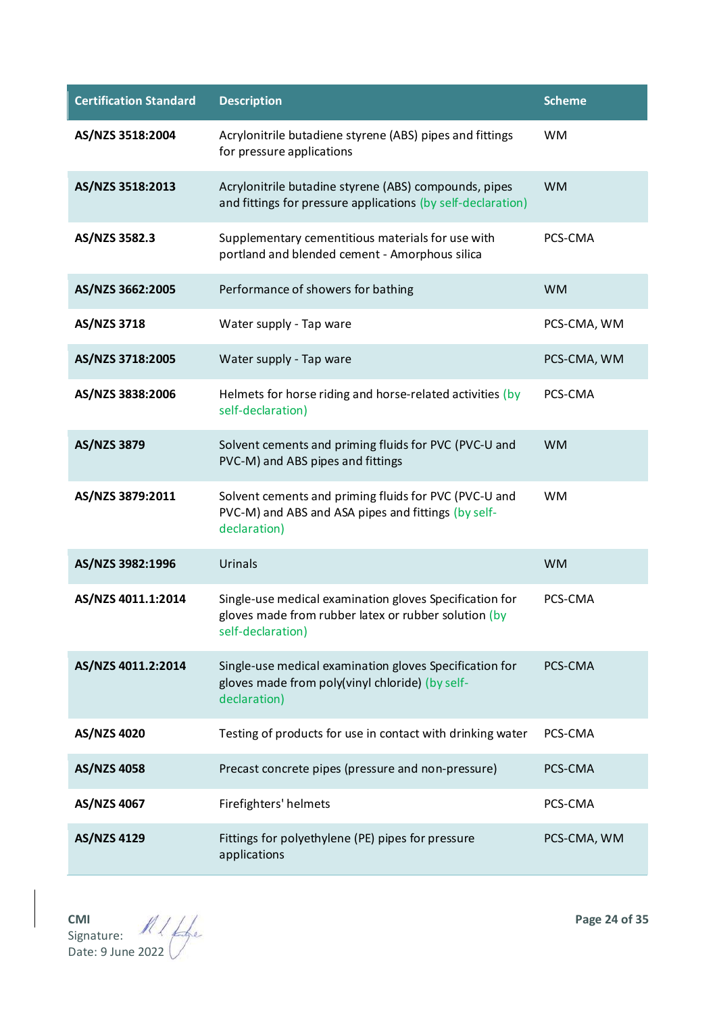| <b>Certification Standard</b> | <b>Description</b>                                                                                                                   | <b>Scheme</b> |
|-------------------------------|--------------------------------------------------------------------------------------------------------------------------------------|---------------|
| AS/NZS 3518:2004              | Acrylonitrile butadiene styrene (ABS) pipes and fittings<br>for pressure applications                                                | <b>WM</b>     |
| AS/NZS 3518:2013              | Acrylonitrile butadine styrene (ABS) compounds, pipes<br>and fittings for pressure applications (by self-declaration)                | <b>WM</b>     |
| AS/NZS 3582.3                 | Supplementary cementitious materials for use with<br>portland and blended cement - Amorphous silica                                  | PCS-CMA       |
| AS/NZS 3662:2005              | Performance of showers for bathing                                                                                                   | <b>WM</b>     |
| AS/NZS 3718                   | Water supply - Tap ware                                                                                                              | PCS-CMA, WM   |
| AS/NZS 3718:2005              | Water supply - Tap ware                                                                                                              | PCS-CMA, WM   |
| AS/NZS 3838:2006              | Helmets for horse riding and horse-related activities (by<br>self-declaration)                                                       | PCS-CMA       |
| AS/NZS 3879                   | Solvent cements and priming fluids for PVC (PVC-U and<br>PVC-M) and ABS pipes and fittings                                           | <b>WM</b>     |
| AS/NZS 3879:2011              | Solvent cements and priming fluids for PVC (PVC-U and<br>PVC-M) and ABS and ASA pipes and fittings (by self-<br>declaration)         | <b>WM</b>     |
| AS/NZS 3982:1996              | Urinals                                                                                                                              | <b>WM</b>     |
| AS/NZS 4011.1:2014            | Single-use medical examination gloves Specification for<br>gloves made from rubber latex or rubber solution (by<br>self-declaration) | PCS-CMA       |
| AS/NZS 4011.2:2014            | Single-use medical examination gloves Specification for<br>gloves made from poly(vinyl chloride) (by self-<br>declaration)           | PCS-CMA       |
| AS/NZS 4020                   | Testing of products for use in contact with drinking water                                                                           | PCS-CMA       |
| AS/NZS 4058                   | Precast concrete pipes (pressure and non-pressure)                                                                                   | PCS-CMA       |
| AS/NZS 4067                   | Firefighters' helmets                                                                                                                | PCS-CMA       |
| AS/NZS 4129                   | Fittings for polyethylene (PE) pipes for pressure<br>applications                                                                    | PCS-CMA, WM   |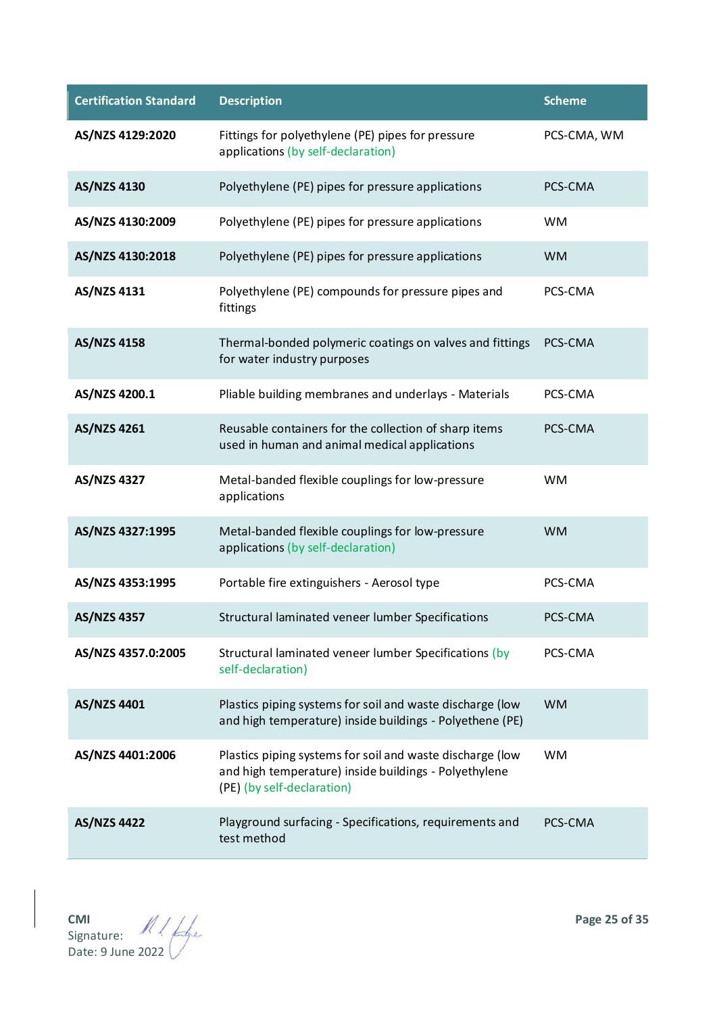| <b>Certification Standard</b> | <b>Description</b>                                                                                                                               | <b>Scheme</b> |
|-------------------------------|--------------------------------------------------------------------------------------------------------------------------------------------------|---------------|
| AS/NZS 4129:2020              | Fittings for polyethylene (PE) pipes for pressure<br>applications (by self-declaration)                                                          | PCS-CMA, WM   |
| <b>AS/NZS 4130</b>            | Polyethylene (PE) pipes for pressure applications                                                                                                | PCS-CMA       |
| AS/NZS 4130:2009              | Polyethylene (PE) pipes for pressure applications                                                                                                | <b>WM</b>     |
| AS/NZS 4130:2018              | Polyethylene (PE) pipes for pressure applications                                                                                                | <b>WM</b>     |
| AS/NZS 4131                   | Polyethylene (PE) compounds for pressure pipes and<br>fittings                                                                                   | PCS-CMA       |
| <b>AS/NZS 4158</b>            | Thermal-bonded polymeric coatings on valves and fittings<br>for water industry purposes                                                          | PCS-CMA       |
| AS/NZS 4200.1                 | Pliable building membranes and underlays - Materials                                                                                             | PCS-CMA       |
| AS/NZS 4261                   | Reusable containers for the collection of sharp items<br>used in human and animal medical applications                                           | PCS-CMA       |
| <b>AS/NZS 4327</b>            | Metal-banded flexible couplings for low-pressure<br>applications                                                                                 | <b>WM</b>     |
| AS/NZS 4327:1995              | Metal-banded flexible couplings for low-pressure<br>applications (by self-declaration)                                                           | <b>WM</b>     |
| AS/NZS 4353:1995              | Portable fire extinguishers - Aerosol type                                                                                                       | PCS-CMA       |
| <b>AS/NZS 4357</b>            | Structural laminated veneer lumber Specifications                                                                                                | PCS-CMA       |
| AS/NZS 4357.0:2005            | Structural laminated veneer lumber Specifications (by<br>self-declaration)                                                                       | PCS-CMA       |
| AS/NZS 4401                   | Plastics piping systems for soil and waste discharge (low<br>and high temperature) inside buildings - Polyethene (PE)                            | <b>WM</b>     |
| AS/NZS 4401:2006              | Plastics piping systems for soil and waste discharge (low<br>and high temperature) inside buildings - Polyethylene<br>(PE) (by self-declaration) | <b>WM</b>     |
| <b>AS/NZS 4422</b>            | Playground surfacing - Specifications, requirements and<br>test method                                                                           | PCS-CMA       |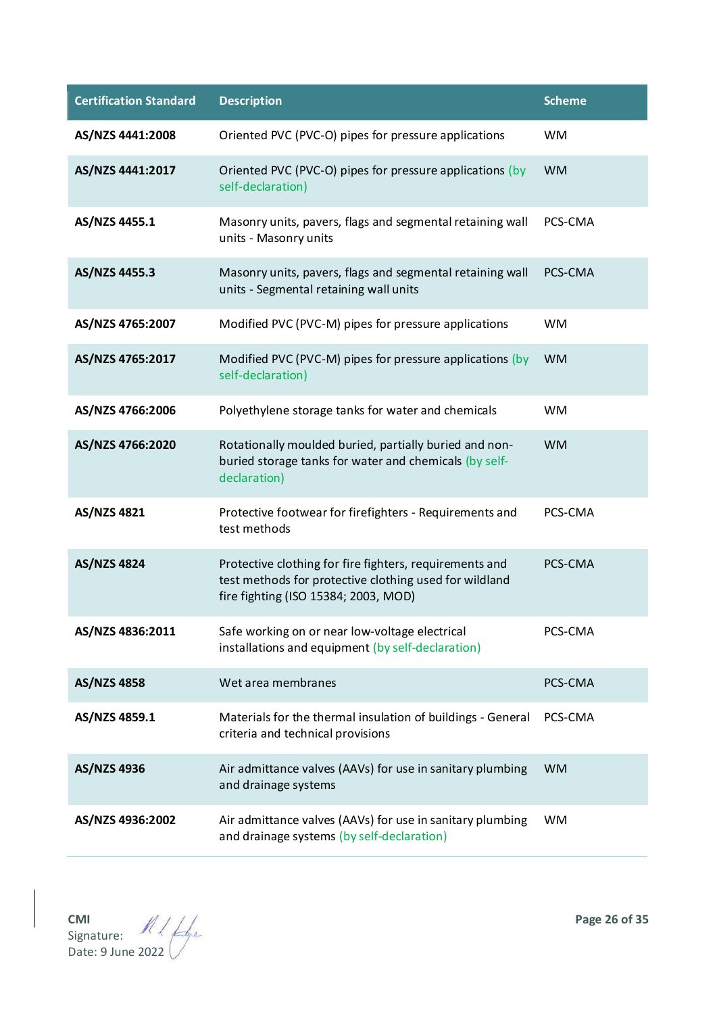| <b>Certification Standard</b> | <b>Description</b>                                                                                                                                        | <b>Scheme</b> |
|-------------------------------|-----------------------------------------------------------------------------------------------------------------------------------------------------------|---------------|
| AS/NZS 4441:2008              | Oriented PVC (PVC-O) pipes for pressure applications                                                                                                      | <b>WM</b>     |
| AS/NZS 4441:2017              | Oriented PVC (PVC-O) pipes for pressure applications (by<br>self-declaration)                                                                             | <b>WM</b>     |
| AS/NZS 4455.1                 | Masonry units, pavers, flags and segmental retaining wall<br>units - Masonry units                                                                        | PCS-CMA       |
| AS/NZS 4455.3                 | Masonry units, pavers, flags and segmental retaining wall<br>units - Segmental retaining wall units                                                       | PCS-CMA       |
| AS/NZS 4765:2007              | Modified PVC (PVC-M) pipes for pressure applications                                                                                                      | <b>WM</b>     |
| AS/NZS 4765:2017              | Modified PVC (PVC-M) pipes for pressure applications (by<br>self-declaration)                                                                             | <b>WM</b>     |
| AS/NZS 4766:2006              | Polyethylene storage tanks for water and chemicals                                                                                                        | <b>WM</b>     |
| AS/NZS 4766:2020              | Rotationally moulded buried, partially buried and non-<br>buried storage tanks for water and chemicals (by self-<br>declaration)                          | <b>WM</b>     |
| AS/NZS 4821                   | Protective footwear for firefighters - Requirements and<br>test methods                                                                                   | PCS-CMA       |
| <b>AS/NZS 4824</b>            | Protective clothing for fire fighters, requirements and<br>test methods for protective clothing used for wildland<br>fire fighting (ISO 15384; 2003, MOD) | PCS-CMA       |
| AS/NZS 4836:2011              | Safe working on or near low-voltage electrical<br>installations and equipment (by self-declaration)                                                       | PCS-CMA       |
| <b>AS/NZS 4858</b>            | Wet area membranes                                                                                                                                        | PCS-CMA       |
| AS/NZS 4859.1                 | Materials for the thermal insulation of buildings - General<br>criteria and technical provisions                                                          | PCS-CMA       |
| AS/NZS 4936                   | Air admittance valves (AAVs) for use in sanitary plumbing<br>and drainage systems                                                                         | <b>WM</b>     |
| AS/NZS 4936:2002              | Air admittance valves (AAVs) for use in sanitary plumbing<br>and drainage systems (by self-declaration)                                                   | <b>WM</b>     |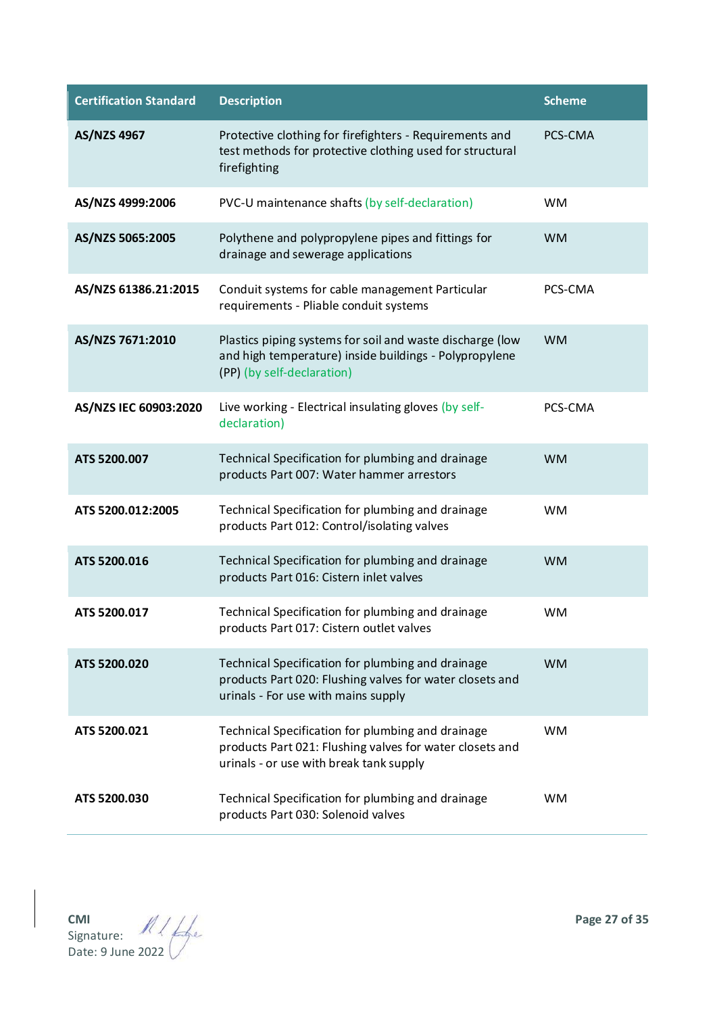| <b>Certification Standard</b> | <b>Description</b>                                                                                                                                       | <b>Scheme</b> |
|-------------------------------|----------------------------------------------------------------------------------------------------------------------------------------------------------|---------------|
| AS/NZS 4967                   | Protective clothing for firefighters - Requirements and<br>test methods for protective clothing used for structural<br>firefighting                      | PCS-CMA       |
| AS/NZS 4999:2006              | PVC-U maintenance shafts (by self-declaration)                                                                                                           | <b>WM</b>     |
| AS/NZS 5065:2005              | Polythene and polypropylene pipes and fittings for<br>drainage and sewerage applications                                                                 | <b>WM</b>     |
| AS/NZS 61386.21:2015          | Conduit systems for cable management Particular<br>requirements - Pliable conduit systems                                                                | PCS-CMA       |
| AS/NZS 7671:2010              | Plastics piping systems for soil and waste discharge (low<br>and high temperature) inside buildings - Polypropylene<br>(PP) (by self-declaration)        | <b>WM</b>     |
| AS/NZS IEC 60903:2020         | Live working - Electrical insulating gloves (by self-<br>declaration)                                                                                    | PCS-CMA       |
| ATS 5200.007                  | Technical Specification for plumbing and drainage<br>products Part 007: Water hammer arrestors                                                           | <b>WM</b>     |
| ATS 5200.012:2005             | Technical Specification for plumbing and drainage<br>products Part 012: Control/isolating valves                                                         | <b>WM</b>     |
| ATS 5200.016                  | Technical Specification for plumbing and drainage<br>products Part 016: Cistern inlet valves                                                             | <b>WM</b>     |
| ATS 5200.017                  | Technical Specification for plumbing and drainage<br>products Part 017: Cistern outlet valves                                                            | <b>WM</b>     |
| ATS 5200.020                  | Technical Specification for plumbing and drainage<br>products Part 020: Flushing valves for water closets and<br>urinals - For use with mains supply     | <b>WM</b>     |
| ATS 5200.021                  | Technical Specification for plumbing and drainage<br>products Part 021: Flushing valves for water closets and<br>urinals - or use with break tank supply | <b>WM</b>     |
| ATS 5200.030                  | Technical Specification for plumbing and drainage<br>products Part 030: Solenoid valves                                                                  | <b>WM</b>     |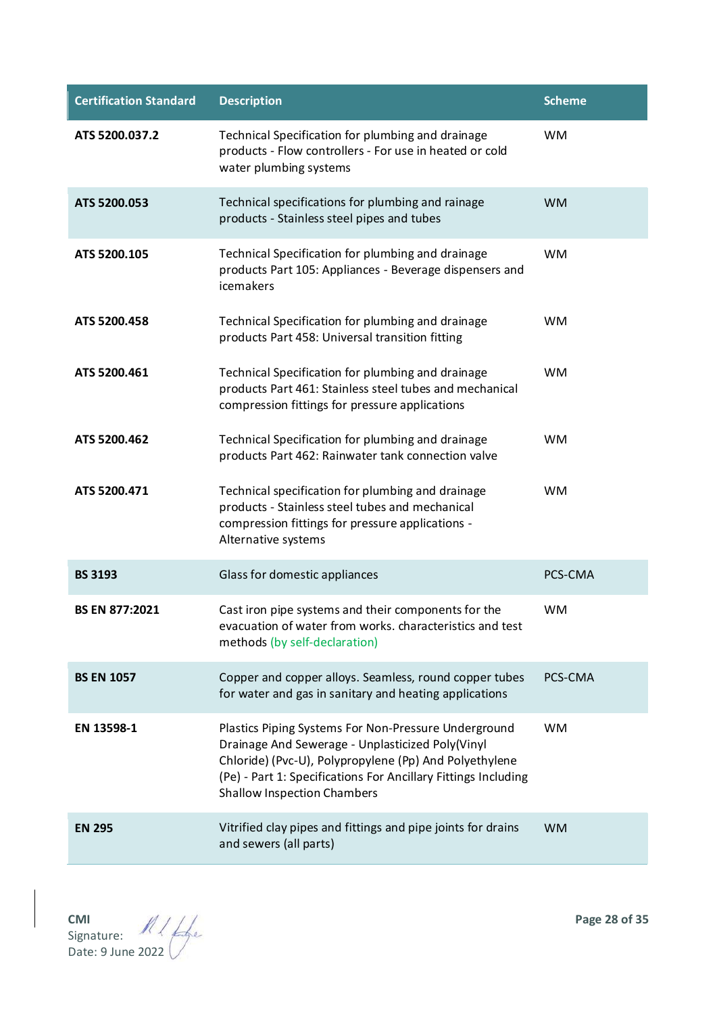| <b>Certification Standard</b> | <b>Description</b>                                                                                                                                                                                                                                                         | <b>Scheme</b> |
|-------------------------------|----------------------------------------------------------------------------------------------------------------------------------------------------------------------------------------------------------------------------------------------------------------------------|---------------|
| ATS 5200.037.2                | Technical Specification for plumbing and drainage<br>products - Flow controllers - For use in heated or cold<br>water plumbing systems                                                                                                                                     | <b>WM</b>     |
| ATS 5200.053                  | Technical specifications for plumbing and rainage<br>products - Stainless steel pipes and tubes                                                                                                                                                                            | <b>WM</b>     |
| ATS 5200.105                  | Technical Specification for plumbing and drainage<br>products Part 105: Appliances - Beverage dispensers and<br>icemakers                                                                                                                                                  | <b>WM</b>     |
| ATS 5200.458                  | Technical Specification for plumbing and drainage<br>products Part 458: Universal transition fitting                                                                                                                                                                       | <b>WM</b>     |
| ATS 5200.461                  | Technical Specification for plumbing and drainage<br>products Part 461: Stainless steel tubes and mechanical<br>compression fittings for pressure applications                                                                                                             | <b>WM</b>     |
| ATS 5200.462                  | Technical Specification for plumbing and drainage<br>products Part 462: Rainwater tank connection valve                                                                                                                                                                    | <b>WM</b>     |
| ATS 5200.471                  | Technical specification for plumbing and drainage<br>products - Stainless steel tubes and mechanical<br>compression fittings for pressure applications -<br>Alternative systems                                                                                            | <b>WM</b>     |
| <b>BS 3193</b>                | Glass for domestic appliances                                                                                                                                                                                                                                              | PCS-CMA       |
| <b>BS EN 877:2021</b>         | Cast iron pipe systems and their components for the<br>evacuation of water from works. characteristics and test<br>methods (by self-declaration)                                                                                                                           | <b>WM</b>     |
| <b>BS EN 1057</b>             | Copper and copper alloys. Seamless, round copper tubes<br>for water and gas in sanitary and heating applications                                                                                                                                                           | PCS-CMA       |
| EN 13598-1                    | Plastics Piping Systems For Non-Pressure Underground<br>Drainage And Sewerage - Unplasticized Poly(Vinyl<br>Chloride) (Pvc-U), Polypropylene (Pp) And Polyethylene<br>(Pe) - Part 1: Specifications For Ancillary Fittings Including<br><b>Shallow Inspection Chambers</b> | <b>WM</b>     |
| <b>EN 295</b>                 | Vitrified clay pipes and fittings and pipe joints for drains<br>and sewers (all parts)                                                                                                                                                                                     | <b>WM</b>     |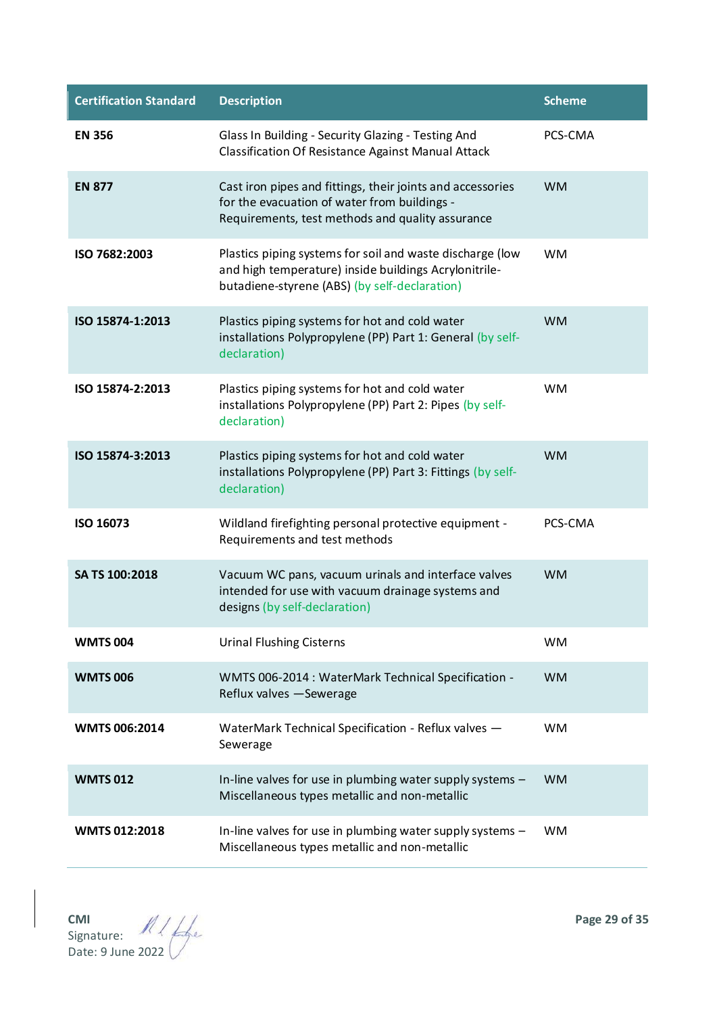| <b>Certification Standard</b> | <b>Description</b>                                                                                                                                                  | <b>Scheme</b> |
|-------------------------------|---------------------------------------------------------------------------------------------------------------------------------------------------------------------|---------------|
| <b>EN 356</b>                 | Glass In Building - Security Glazing - Testing And<br>Classification Of Resistance Against Manual Attack                                                            | PCS-CMA       |
| <b>EN 877</b>                 | Cast iron pipes and fittings, their joints and accessories<br>for the evacuation of water from buildings -<br>Requirements, test methods and quality assurance      | <b>WM</b>     |
| ISO 7682:2003                 | Plastics piping systems for soil and waste discharge (low<br>and high temperature) inside buildings Acrylonitrile-<br>butadiene-styrene (ABS) (by self-declaration) | <b>WM</b>     |
| ISO 15874-1:2013              | Plastics piping systems for hot and cold water<br>installations Polypropylene (PP) Part 1: General (by self-<br>declaration)                                        | <b>WM</b>     |
| ISO 15874-2:2013              | Plastics piping systems for hot and cold water<br>installations Polypropylene (PP) Part 2: Pipes (by self-<br>declaration)                                          | <b>WM</b>     |
| ISO 15874-3:2013              | Plastics piping systems for hot and cold water<br>installations Polypropylene (PP) Part 3: Fittings (by self-<br>declaration)                                       | <b>WM</b>     |
| ISO 16073                     | Wildland firefighting personal protective equipment -<br>Requirements and test methods                                                                              | PCS-CMA       |
| SA TS 100:2018                | Vacuum WC pans, vacuum urinals and interface valves<br>intended for use with vacuum drainage systems and<br>designs (by self-declaration)                           | <b>WM</b>     |
| <b>WMTS 004</b>               | <b>Urinal Flushing Cisterns</b>                                                                                                                                     | <b>WM</b>     |
| <b>WMTS 006</b>               | WMTS 006-2014 : WaterMark Technical Specification -<br>Reflux valves -Sewerage                                                                                      | <b>WM</b>     |
| <b>WMTS 006:2014</b>          | WaterMark Technical Specification - Reflux valves -<br>Sewerage                                                                                                     | <b>WM</b>     |
| <b>WMTS 012</b>               | In-line valves for use in plumbing water supply systems -<br>Miscellaneous types metallic and non-metallic                                                          | <b>WM</b>     |
| <b>WMTS 012:2018</b>          | In-line valves for use in plumbing water supply systems -<br>Miscellaneous types metallic and non-metallic                                                          | <b>WM</b>     |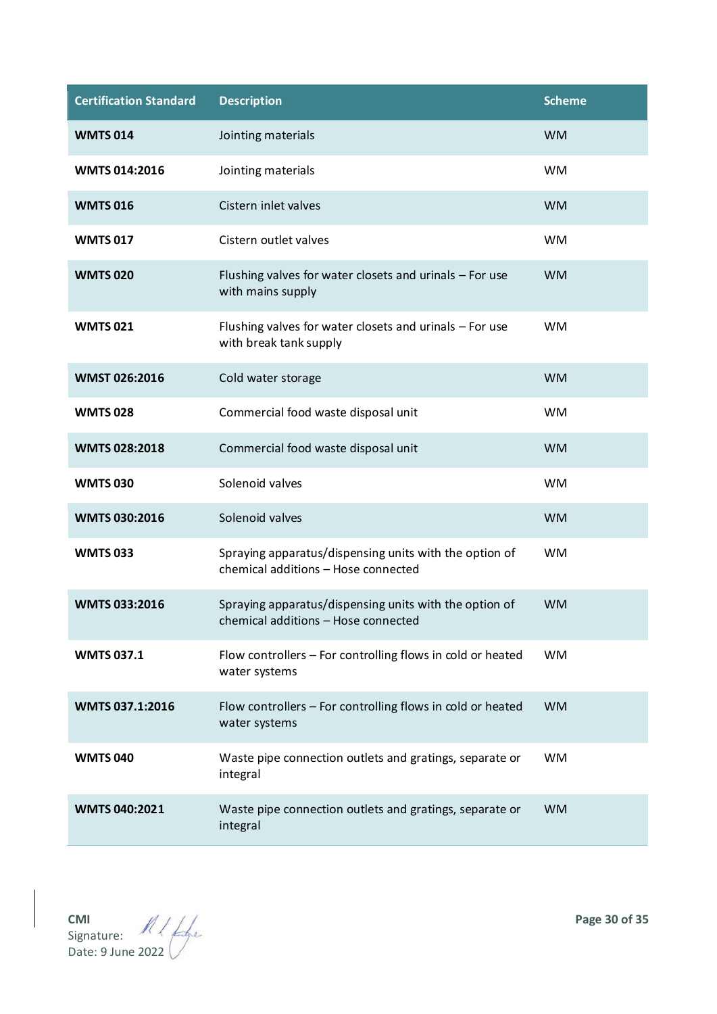| <b>Certification Standard</b> | <b>Description</b>                                                                            | <b>Scheme</b> |
|-------------------------------|-----------------------------------------------------------------------------------------------|---------------|
| <b>WMTS 014</b>               | Jointing materials                                                                            | <b>WM</b>     |
| <b>WMTS 014:2016</b>          | Jointing materials                                                                            | <b>WM</b>     |
| <b>WMTS 016</b>               | Cistern inlet valves                                                                          | <b>WM</b>     |
| <b>WMTS 017</b>               | Cistern outlet valves                                                                         | <b>WM</b>     |
| <b>WMTS 020</b>               | Flushing valves for water closets and urinals - For use<br>with mains supply                  | <b>WM</b>     |
| <b>WMTS 021</b>               | Flushing valves for water closets and urinals - For use<br>with break tank supply             | <b>WM</b>     |
| WMST 026:2016                 | Cold water storage                                                                            | <b>WM</b>     |
| <b>WMTS 028</b>               | Commercial food waste disposal unit                                                           | <b>WM</b>     |
| <b>WMTS 028:2018</b>          | Commercial food waste disposal unit                                                           | <b>WM</b>     |
| <b>WMTS 030</b>               | Solenoid valves                                                                               | <b>WM</b>     |
| <b>WMTS 030:2016</b>          | Solenoid valves                                                                               | <b>WM</b>     |
| <b>WMTS 033</b>               | Spraying apparatus/dispensing units with the option of<br>chemical additions - Hose connected | <b>WM</b>     |
| <b>WMTS 033:2016</b>          | Spraying apparatus/dispensing units with the option of<br>chemical additions - Hose connected | <b>WM</b>     |
| <b>WMTS 037.1</b>             | Flow controllers - For controlling flows in cold or heated<br>water systems                   | <b>WM</b>     |
| WMTS 037.1:2016               | Flow controllers - For controlling flows in cold or heated<br>water systems                   | <b>WM</b>     |
| <b>WMTS 040</b>               | Waste pipe connection outlets and gratings, separate or<br>integral                           | <b>WM</b>     |
| <b>WMTS 040:2021</b>          | Waste pipe connection outlets and gratings, separate or<br>integral                           | <b>WM</b>     |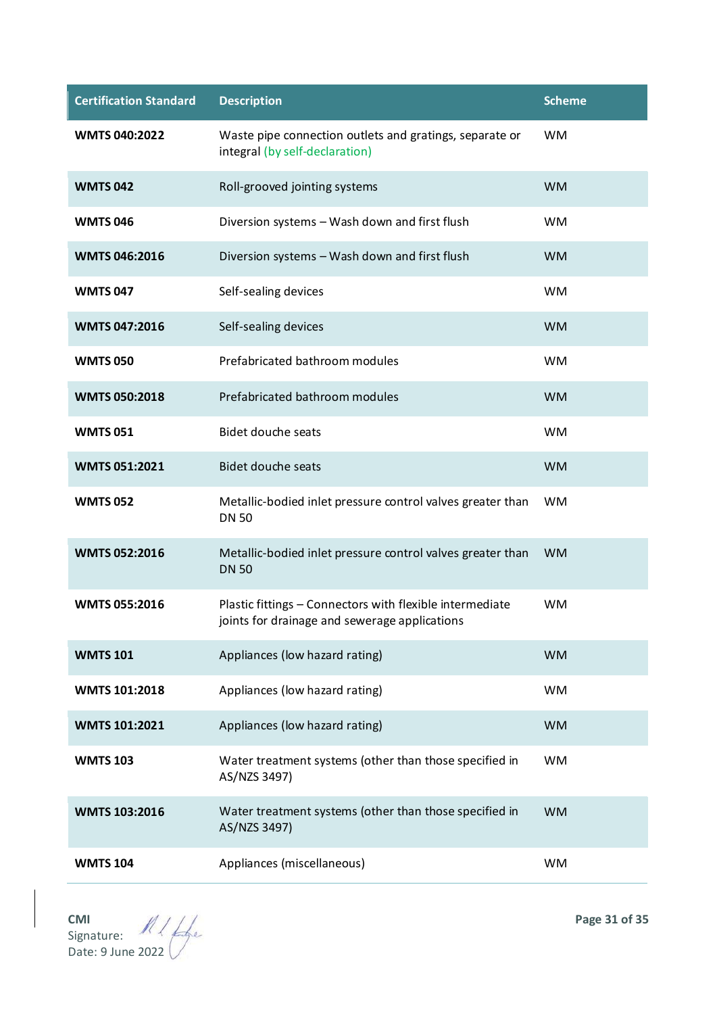| <b>Certification Standard</b> | <b>Description</b>                                                                                        | <b>Scheme</b> |
|-------------------------------|-----------------------------------------------------------------------------------------------------------|---------------|
| <b>WMTS 040:2022</b>          | Waste pipe connection outlets and gratings, separate or<br>integral (by self-declaration)                 | <b>WM</b>     |
| <b>WMTS 042</b>               | Roll-grooved jointing systems                                                                             | <b>WM</b>     |
| <b>WMTS 046</b>               | Diversion systems - Wash down and first flush                                                             | <b>WM</b>     |
| <b>WMTS 046:2016</b>          | Diversion systems - Wash down and first flush                                                             | <b>WM</b>     |
| <b>WMTS 047</b>               | Self-sealing devices                                                                                      | <b>WM</b>     |
| <b>WMTS 047:2016</b>          | Self-sealing devices                                                                                      | <b>WM</b>     |
| <b>WMTS 050</b>               | Prefabricated bathroom modules                                                                            | <b>WM</b>     |
| <b>WMTS 050:2018</b>          | Prefabricated bathroom modules                                                                            | <b>WM</b>     |
| <b>WMTS 051</b>               | <b>Bidet douche seats</b>                                                                                 | <b>WM</b>     |
| <b>WMTS 051:2021</b>          | <b>Bidet douche seats</b>                                                                                 | <b>WM</b>     |
| <b>WMTS 052</b>               | Metallic-bodied inlet pressure control valves greater than<br><b>DN 50</b>                                | <b>WM</b>     |
| <b>WMTS 052:2016</b>          | Metallic-bodied inlet pressure control valves greater than<br><b>DN 50</b>                                | <b>WM</b>     |
| <b>WMTS 055:2016</b>          | Plastic fittings - Connectors with flexible intermediate<br>joints for drainage and sewerage applications | <b>WM</b>     |
| <b>WMTS 101</b>               | Appliances (low hazard rating)                                                                            | <b>WM</b>     |
| <b>WMTS 101:2018</b>          | Appliances (low hazard rating)                                                                            | <b>WM</b>     |
| <b>WMTS 101:2021</b>          | Appliances (low hazard rating)                                                                            | <b>WM</b>     |
| <b>WMTS 103</b>               | Water treatment systems (other than those specified in<br>AS/NZS 3497)                                    | <b>WM</b>     |
| <b>WMTS 103:2016</b>          | Water treatment systems (other than those specified in<br>AS/NZS 3497)                                    | <b>WM</b>     |
| <b>WMTS 104</b>               | Appliances (miscellaneous)                                                                                | <b>WM</b>     |

**CMI Page 31 of 35** Signature: Date: 9 June 2022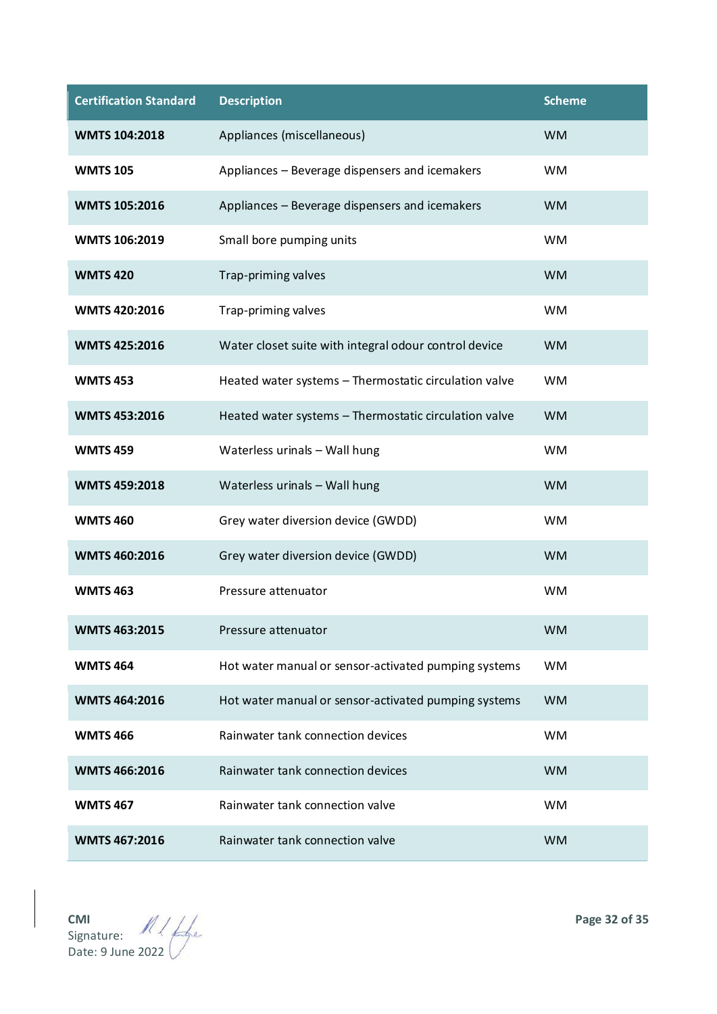| <b>Certification Standard</b> | <b>Description</b>                                    | <b>Scheme</b> |
|-------------------------------|-------------------------------------------------------|---------------|
| <b>WMTS 104:2018</b>          | Appliances (miscellaneous)                            | <b>WM</b>     |
| <b>WMTS 105</b>               | Appliances - Beverage dispensers and icemakers        | <b>WM</b>     |
| <b>WMTS 105:2016</b>          | Appliances - Beverage dispensers and icemakers        | <b>WM</b>     |
| <b>WMTS 106:2019</b>          | Small bore pumping units                              | <b>WM</b>     |
| <b>WMTS420</b>                | Trap-priming valves                                   | <b>WM</b>     |
| <b>WMTS 420:2016</b>          | Trap-priming valves                                   | <b>WM</b>     |
| <b>WMTS 425:2016</b>          | Water closet suite with integral odour control device | <b>WM</b>     |
| <b>WMTS 453</b>               | Heated water systems - Thermostatic circulation valve | <b>WM</b>     |
| <b>WMTS 453:2016</b>          | Heated water systems - Thermostatic circulation valve | <b>WM</b>     |
| <b>WMTS 459</b>               | Waterless urinals - Wall hung                         | <b>WM</b>     |
| <b>WMTS 459:2018</b>          | Waterless urinals - Wall hung                         | <b>WM</b>     |
| <b>WMTS 460</b>               | Grey water diversion device (GWDD)                    | <b>WM</b>     |
| <b>WMTS 460:2016</b>          | Grey water diversion device (GWDD)                    | <b>WM</b>     |
| <b>WMTS 463</b>               | Pressure attenuator                                   | <b>WM</b>     |
| <b>WMTS 463:2015</b>          | Pressure attenuator                                   | <b>WM</b>     |
| <b>WMTS 464</b>               | Hot water manual or sensor-activated pumping systems  | <b>WM</b>     |
| <b>WMTS 464:2016</b>          | Hot water manual or sensor-activated pumping systems  | <b>WM</b>     |
| <b>WMTS466</b>                | Rainwater tank connection devices                     | <b>WM</b>     |
| <b>WMTS 466:2016</b>          | Rainwater tank connection devices                     | <b>WM</b>     |
| <b>WMTS 467</b>               | Rainwater tank connection valve                       | <b>WM</b>     |
| <b>WMTS 467:2016</b>          | Rainwater tank connection valve                       | <b>WM</b>     |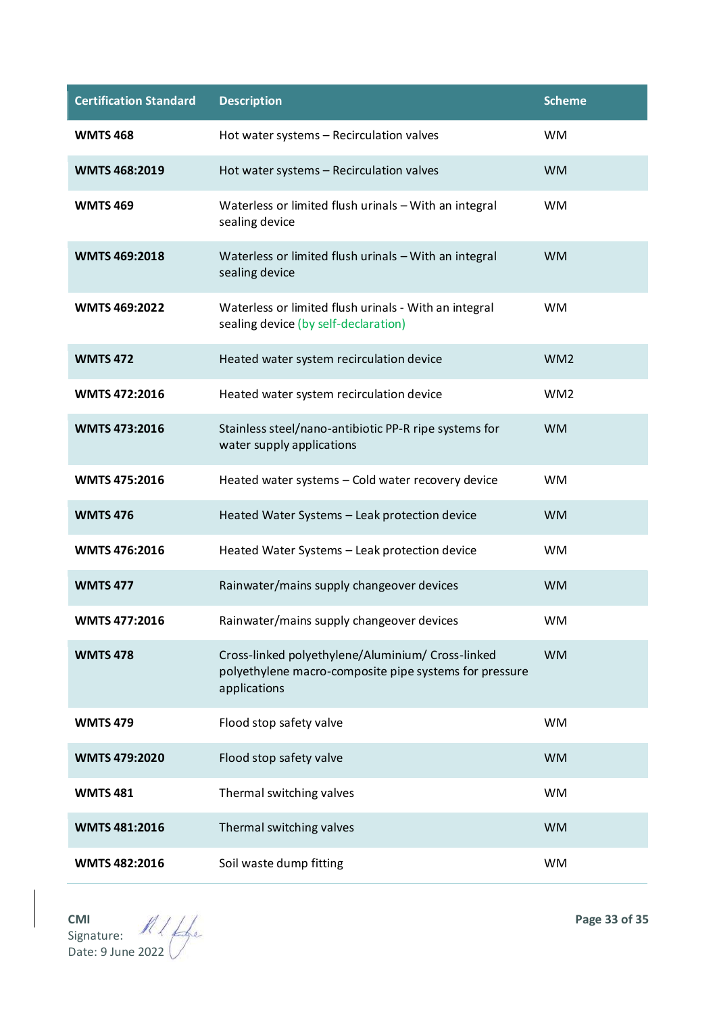| <b>Certification Standard</b> | <b>Description</b>                                                                                                          | <b>Scheme</b>   |
|-------------------------------|-----------------------------------------------------------------------------------------------------------------------------|-----------------|
| <b>WMTS468</b>                | Hot water systems - Recirculation valves                                                                                    | <b>WM</b>       |
| <b>WMTS 468:2019</b>          | Hot water systems - Recirculation valves                                                                                    | <b>WM</b>       |
| <b>WMTS469</b>                | Waterless or limited flush urinals - With an integral<br>sealing device                                                     | <b>WM</b>       |
| <b>WMTS 469:2018</b>          | Waterless or limited flush urinals - With an integral<br>sealing device                                                     | <b>WM</b>       |
| <b>WMTS 469:2022</b>          | Waterless or limited flush urinals - With an integral<br>sealing device (by self-declaration)                               | <b>WM</b>       |
| <b>WMTS 472</b>               | Heated water system recirculation device                                                                                    | WM <sub>2</sub> |
| <b>WMTS 472:2016</b>          | Heated water system recirculation device                                                                                    | WM <sub>2</sub> |
| <b>WMTS 473:2016</b>          | Stainless steel/nano-antibiotic PP-R ripe systems for<br>water supply applications                                          | <b>WM</b>       |
| <b>WMTS 475:2016</b>          | Heated water systems - Cold water recovery device                                                                           | <b>WM</b>       |
| <b>WMTS476</b>                | Heated Water Systems - Leak protection device                                                                               | <b>WM</b>       |
| <b>WMTS 476:2016</b>          | Heated Water Systems - Leak protection device                                                                               | <b>WM</b>       |
| <b>WMTS 477</b>               | Rainwater/mains supply changeover devices                                                                                   | <b>WM</b>       |
| <b>WMTS 477:2016</b>          | Rainwater/mains supply changeover devices                                                                                   | <b>WM</b>       |
| <b>WMTS 478</b>               | Cross-linked polyethylene/Aluminium/ Cross-linked<br>polyethylene macro-composite pipe systems for pressure<br>applications | <b>WM</b>       |
| <b>WMTS 479</b>               | Flood stop safety valve                                                                                                     | <b>WM</b>       |
| <b>WMTS 479:2020</b>          | Flood stop safety valve                                                                                                     | <b>WM</b>       |
| <b>WMTS481</b>                | Thermal switching valves                                                                                                    | <b>WM</b>       |
| <b>WMTS 481:2016</b>          | Thermal switching valves                                                                                                    | <b>WM</b>       |
| <b>WMTS 482:2016</b>          | Soil waste dump fitting                                                                                                     | <b>WM</b>       |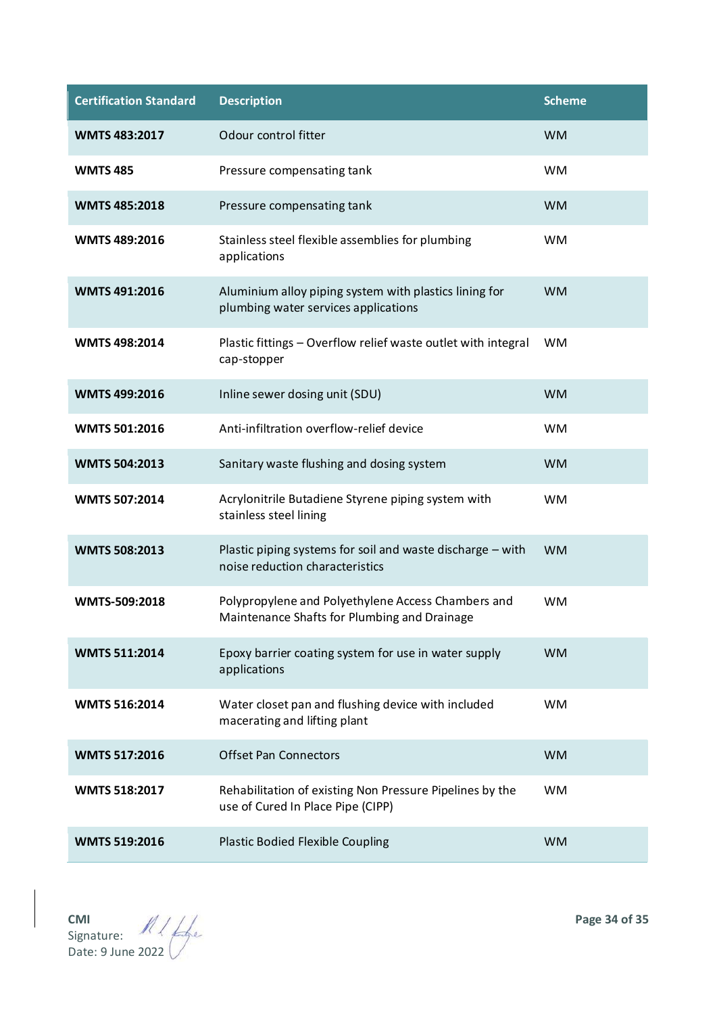| <b>Certification Standard</b> | <b>Description</b>                                                                                 | <b>Scheme</b> |
|-------------------------------|----------------------------------------------------------------------------------------------------|---------------|
| <b>WMTS 483:2017</b>          | Odour control fitter                                                                               | <b>WM</b>     |
| <b>WMTS485</b>                | Pressure compensating tank                                                                         | <b>WM</b>     |
| <b>WMTS 485:2018</b>          | Pressure compensating tank                                                                         | <b>WM</b>     |
| <b>WMTS 489:2016</b>          | Stainless steel flexible assemblies for plumbing<br>applications                                   | <b>WM</b>     |
| <b>WMTS 491:2016</b>          | Aluminium alloy piping system with plastics lining for<br>plumbing water services applications     | <b>WM</b>     |
| <b>WMTS 498:2014</b>          | Plastic fittings - Overflow relief waste outlet with integral<br>cap-stopper                       | <b>WM</b>     |
| <b>WMTS 499:2016</b>          | Inline sewer dosing unit (SDU)                                                                     | <b>WM</b>     |
| <b>WMTS 501:2016</b>          | Anti-infiltration overflow-relief device                                                           | <b>WM</b>     |
| <b>WMTS 504:2013</b>          | Sanitary waste flushing and dosing system                                                          | <b>WM</b>     |
| <b>WMTS 507:2014</b>          | Acrylonitrile Butadiene Styrene piping system with<br>stainless steel lining                       | <b>WM</b>     |
| <b>WMTS 508:2013</b>          | Plastic piping systems for soil and waste discharge - with<br>noise reduction characteristics      | <b>WM</b>     |
| WMTS-509:2018                 | Polypropylene and Polyethylene Access Chambers and<br>Maintenance Shafts for Plumbing and Drainage | <b>WM</b>     |
| <b>WMTS 511:2014</b>          | Epoxy barrier coating system for use in water supply<br>applications                               | <b>WM</b>     |
| <b>WMTS 516:2014</b>          | Water closet pan and flushing device with included<br>macerating and lifting plant                 | <b>WM</b>     |
| <b>WMTS 517:2016</b>          | <b>Offset Pan Connectors</b>                                                                       | <b>WM</b>     |
| <b>WMTS 518:2017</b>          | Rehabilitation of existing Non Pressure Pipelines by the<br>use of Cured In Place Pipe (CIPP)      | <b>WM</b>     |
| <b>WMTS 519:2016</b>          | <b>Plastic Bodied Flexible Coupling</b>                                                            | <b>WM</b>     |